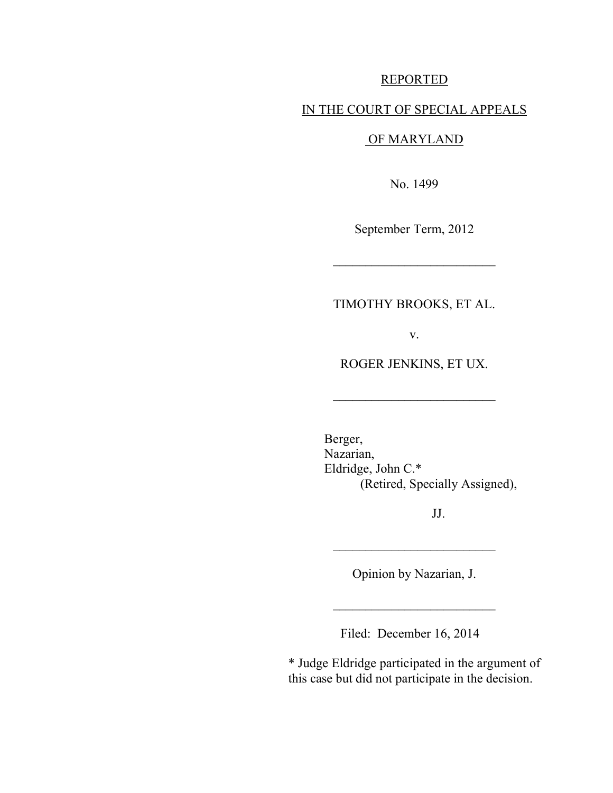### REPORTED

### IN THE COURT OF SPECIAL APPEALS

# OF MARYLAND

No. 1499

September Term, 2012

 $\overline{\phantom{a}}$  , where  $\overline{\phantom{a}}$ 

# TIMOTHY BROOKS, ET AL.

v.

ROGER JENKINS, ET UX.

 $\overline{\phantom{a}}$  , where  $\overline{\phantom{a}}$ 

 Berger, Nazarian, Eldridge, John C.\* (Retired, Specially Assigned),

JJ.

Opinion by Nazarian, J.

 $\overline{\phantom{a}}$  , where  $\overline{\phantom{a}}$ 

\_\_\_\_\_\_\_\_\_\_\_\_\_\_\_\_\_\_\_\_\_\_\_\_\_

Filed: December 16, 2014

\* Judge Eldridge participated in the argument of this case but did not participate in the decision.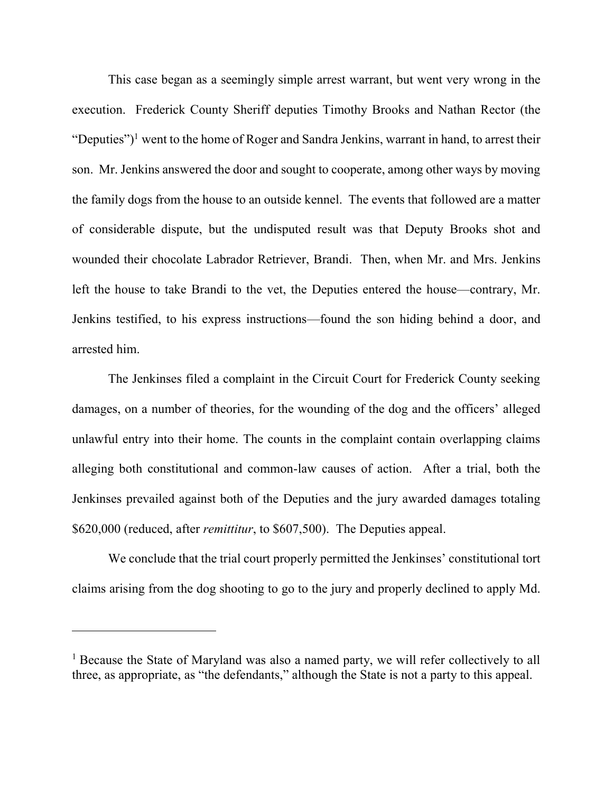This case began as a seemingly simple arrest warrant, but went very wrong in the execution. Frederick County Sheriff deputies Timothy Brooks and Nathan Rector (the "Deputies")<sup>1</sup> went to the home of Roger and Sandra Jenkins, warrant in hand, to arrest their son. Mr. Jenkins answered the door and sought to cooperate, among other ways by moving the family dogs from the house to an outside kennel. The events that followed are a matter of considerable dispute, but the undisputed result was that Deputy Brooks shot and wounded their chocolate Labrador Retriever, Brandi. Then, when Mr. and Mrs. Jenkins left the house to take Brandi to the vet, the Deputies entered the house—contrary, Mr. Jenkins testified, to his express instructions—found the son hiding behind a door, and arrested him.

The Jenkinses filed a complaint in the Circuit Court for Frederick County seeking damages, on a number of theories, for the wounding of the dog and the officers' alleged unlawful entry into their home. The counts in the complaint contain overlapping claims alleging both constitutional and common-law causes of action. After a trial, both the Jenkinses prevailed against both of the Deputies and the jury awarded damages totaling \$620,000 (reduced, after *remittitur*, to \$607,500). The Deputies appeal.

We conclude that the trial court properly permitted the Jenkinses' constitutional tort claims arising from the dog shooting to go to the jury and properly declined to apply Md.

<sup>&</sup>lt;sup>1</sup> Because the State of Maryland was also a named party, we will refer collectively to all three, as appropriate, as "the defendants," although the State is not a party to this appeal.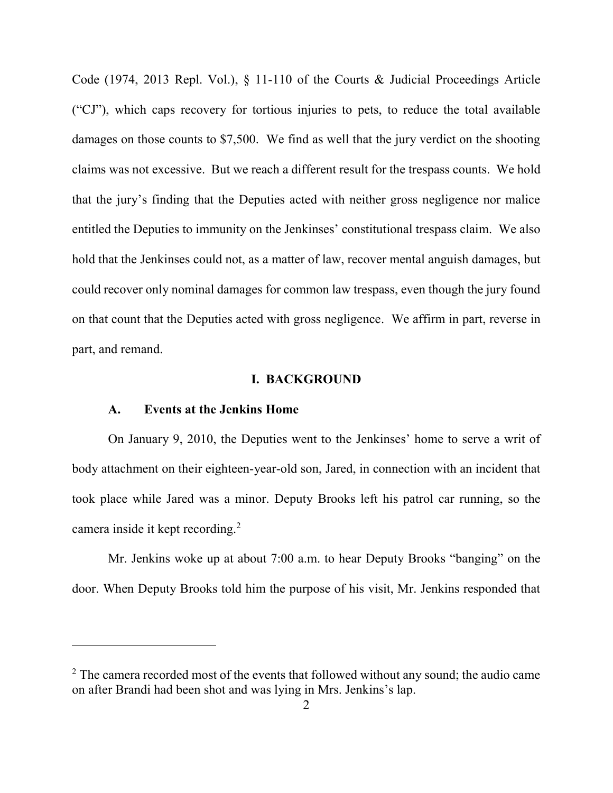Code (1974, 2013 Repl. Vol.), § 11-110 of the Courts & Judicial Proceedings Article ("CJ"), which caps recovery for tortious injuries to pets, to reduce the total available damages on those counts to \$7,500. We find as well that the jury verdict on the shooting claims was not excessive. But we reach a different result for the trespass counts. We hold that the jury's finding that the Deputies acted with neither gross negligence nor malice entitled the Deputies to immunity on the Jenkinses' constitutional trespass claim. We also hold that the Jenkinses could not, as a matter of law, recover mental anguish damages, but could recover only nominal damages for common law trespass, even though the jury found on that count that the Deputies acted with gross negligence. We affirm in part, reverse in part, and remand.

### **I. BACKGROUND**

### **A. Events at the Jenkins Home**

 $\overline{a}$ 

 On January 9, 2010, the Deputies went to the Jenkinses' home to serve a writ of body attachment on their eighteen-year-old son, Jared, in connection with an incident that took place while Jared was a minor. Deputy Brooks left his patrol car running, so the camera inside it kept recording.<sup>2</sup>

 Mr. Jenkins woke up at about 7:00 a.m. to hear Deputy Brooks "banging" on the door. When Deputy Brooks told him the purpose of his visit, Mr. Jenkins responded that

 $2^2$  The camera recorded most of the events that followed without any sound; the audio came on after Brandi had been shot and was lying in Mrs. Jenkins's lap.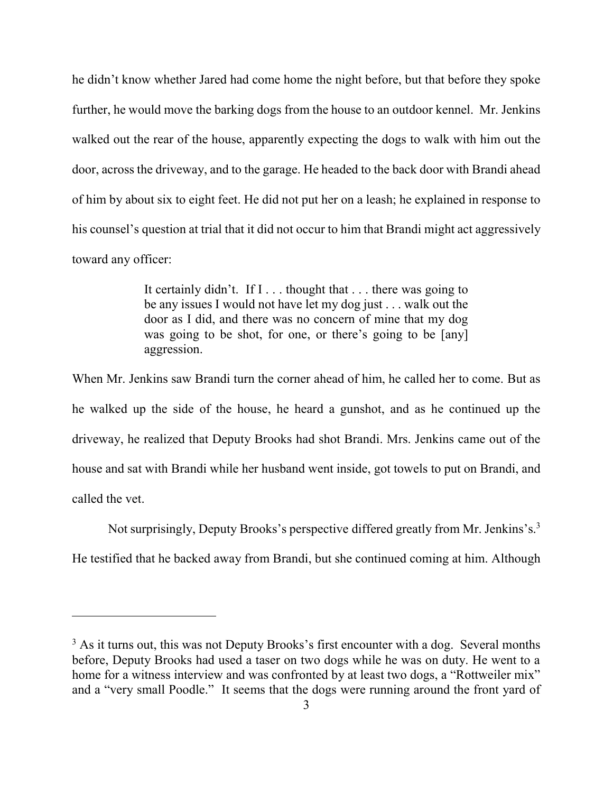he didn't know whether Jared had come home the night before, but that before they spoke further, he would move the barking dogs from the house to an outdoor kennel.Mr. Jenkins walked out the rear of the house, apparently expecting the dogs to walk with him out the door, across the driveway, and to the garage. He headed to the back door with Brandi ahead of him by about six to eight feet. He did not put her on a leash; he explained in response to his counsel's question at trial that it did not occur to him that Brandi might act aggressively toward any officer:

> It certainly didn't. If I . . . thought that . . . there was going to be any issues I would not have let my dog just . . . walk out the door as I did, and there was no concern of mine that my dog was going to be shot, for one, or there's going to be [any] aggression.

When Mr. Jenkins saw Brandi turn the corner ahead of him, he called her to come. But as he walked up the side of the house, he heard a gunshot, and as he continued up the driveway, he realized that Deputy Brooks had shot Brandi. Mrs. Jenkins came out of the house and sat with Brandi while her husband went inside, got towels to put on Brandi, and called the vet.

Not surprisingly, Deputy Brooks's perspective differed greatly from Mr. Jenkins's.<sup>3</sup> He testified that he backed away from Brandi, but she continued coming at him. Although

 $3$  As it turns out, this was not Deputy Brooks's first encounter with a dog. Several months before, Deputy Brooks had used a taser on two dogs while he was on duty. He went to a home for a witness interview and was confronted by at least two dogs, a "Rottweiler mix" and a "very small Poodle." It seems that the dogs were running around the front yard of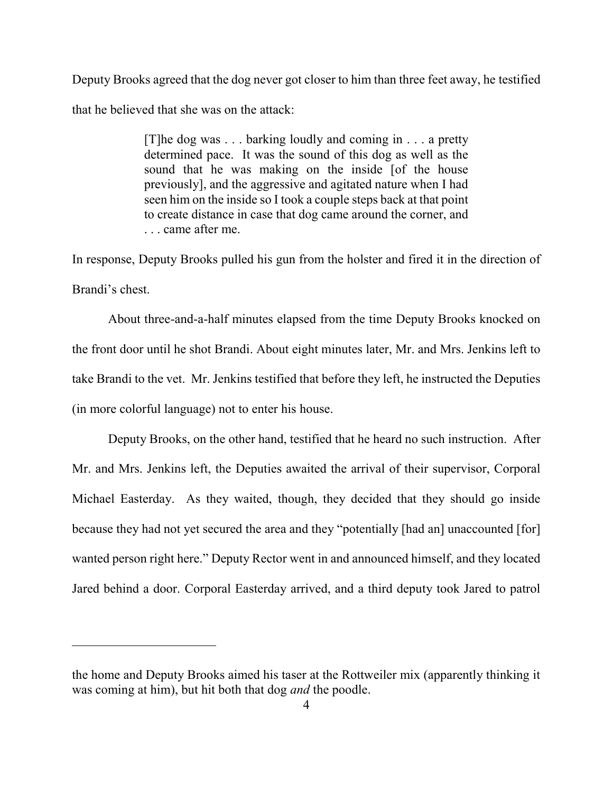Deputy Brooks agreed that the dog never got closer to him than three feet away, he testified that he believed that she was on the attack:

> [T]he dog was . . . barking loudly and coming in . . . a pretty determined pace. It was the sound of this dog as well as the sound that he was making on the inside [of the house previously], and the aggressive and agitated nature when I had seen him on the inside so I took a couple steps back at that point to create distance in case that dog came around the corner, and . . . came after me.

In response, Deputy Brooks pulled his gun from the holster and fired it in the direction of Brandi's chest.

 About three-and-a-half minutes elapsed from the time Deputy Brooks knocked on the front door until he shot Brandi. About eight minutes later, Mr. and Mrs. Jenkins left to take Brandi to the vet. Mr. Jenkins testified that before they left, he instructed the Deputies (in more colorful language) not to enter his house.

Deputy Brooks, on the other hand, testified that he heard no such instruction. After Mr. and Mrs. Jenkins left, the Deputies awaited the arrival of their supervisor, Corporal Michael Easterday. As they waited, though, they decided that they should go inside because they had not yet secured the area and they "potentially [had an] unaccounted [for] wanted person right here." Deputy Rector went in and announced himself, and they located Jared behind a door. Corporal Easterday arrived, and a third deputy took Jared to patrol

the home and Deputy Brooks aimed his taser at the Rottweiler mix (apparently thinking it was coming at him), but hit both that dog *and* the poodle.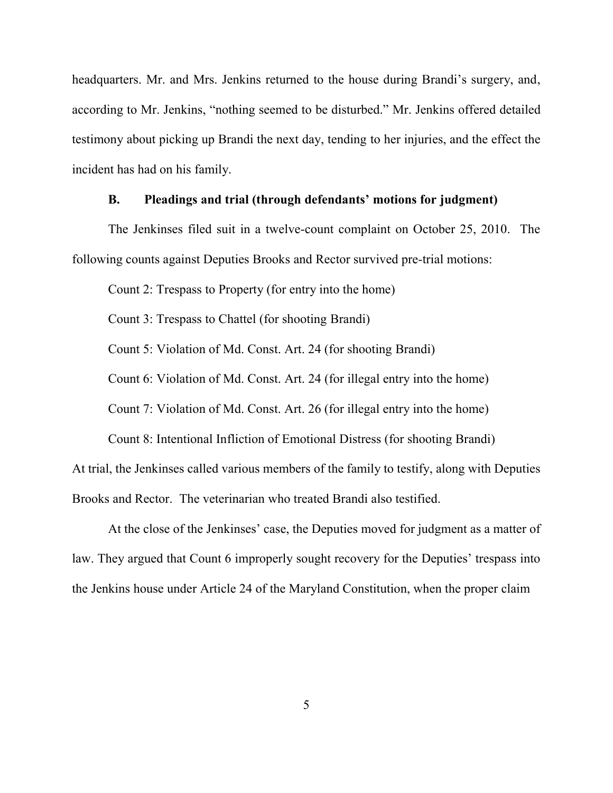headquarters. Mr. and Mrs. Jenkins returned to the house during Brandi's surgery, and, according to Mr. Jenkins, "nothing seemed to be disturbed." Mr. Jenkins offered detailed testimony about picking up Brandi the next day, tending to her injuries, and the effect the incident has had on his family.

## **B. Pleadings and trial (through defendants' motions for judgment)**

 The Jenkinses filed suit in a twelve-count complaint on October 25, 2010. The following counts against Deputies Brooks and Rector survived pre-trial motions:

Count 2: Trespass to Property (for entry into the home)

Count 3: Trespass to Chattel (for shooting Brandi)

Count 5: Violation of Md. Const. Art. 24 (for shooting Brandi)

Count 6: Violation of Md. Const. Art. 24 (for illegal entry into the home)

Count 7: Violation of Md. Const. Art. 26 (for illegal entry into the home)

Count 8: Intentional Infliction of Emotional Distress (for shooting Brandi)

At trial, the Jenkinses called various members of the family to testify, along with Deputies Brooks and Rector. The veterinarian who treated Brandi also testified.

 At the close of the Jenkinses' case, the Deputies moved for judgment as a matter of law. They argued that Count 6 improperly sought recovery for the Deputies' trespass into the Jenkins house under Article 24 of the Maryland Constitution, when the proper claim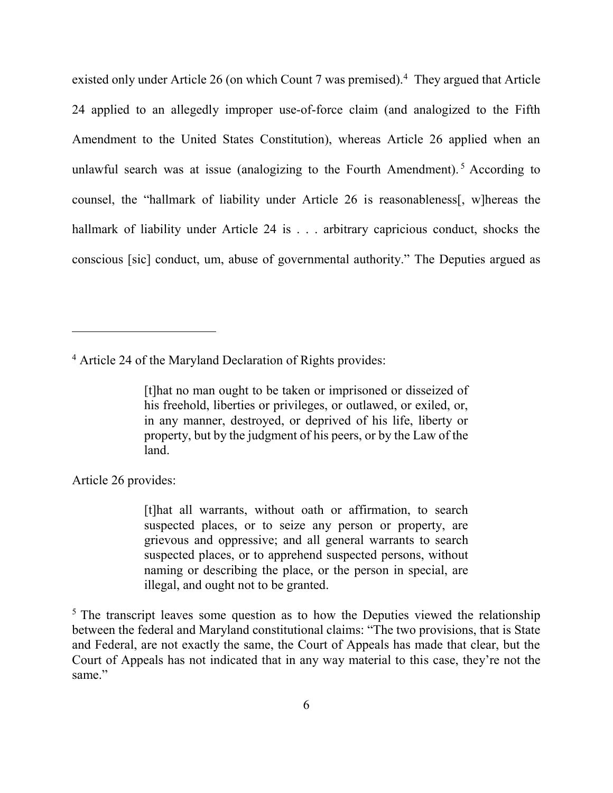existed only under Article 26 (on which Count 7 was premised).<sup>4</sup> They argued that Article 24 applied to an allegedly improper use-of-force claim (and analogized to the Fifth Amendment to the United States Constitution), whereas Article 26 applied when an unlawful search was at issue (analogizing to the Fourth Amendment).<sup>5</sup> According to counsel, the "hallmark of liability under Article 26 is reasonableness[, w]hereas the hallmark of liability under Article 24 is . . . arbitrary capricious conduct, shocks the conscious [sic] conduct, um, abuse of governmental authority." The Deputies argued as

<sup>4</sup> Article 24 of the Maryland Declaration of Rights provides:

[t]hat no man ought to be taken or imprisoned or disseized of his freehold, liberties or privileges, or outlawed, or exiled, or, in any manner, destroyed, or deprived of his life, liberty or property, but by the judgment of his peers, or by the Law of the land.

Article 26 provides:

 $\overline{a}$ 

[t]hat all warrants, without oath or affirmation, to search suspected places, or to seize any person or property, are grievous and oppressive; and all general warrants to search suspected places, or to apprehend suspected persons, without naming or describing the place, or the person in special, are illegal, and ought not to be granted.

 $5$  The transcript leaves some question as to how the Deputies viewed the relationship between the federal and Maryland constitutional claims: "The two provisions, that is State and Federal, are not exactly the same, the Court of Appeals has made that clear, but the Court of Appeals has not indicated that in any way material to this case, they're not the same"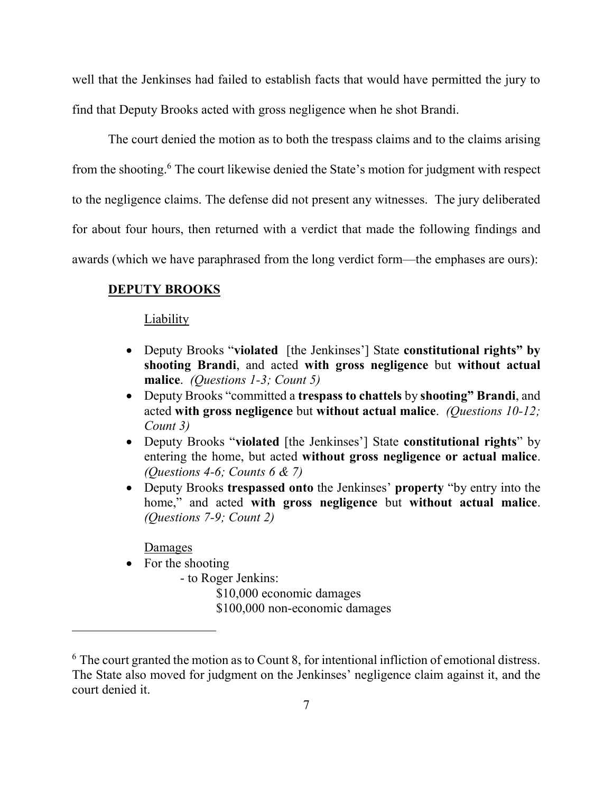well that the Jenkinses had failed to establish facts that would have permitted the jury to find that Deputy Brooks acted with gross negligence when he shot Brandi.

The court denied the motion as to both the trespass claims and to the claims arising from the shooting.<sup>6</sup> The court likewise denied the State's motion for judgment with respect to the negligence claims. The defense did not present any witnesses. The jury deliberated for about four hours, then returned with a verdict that made the following findings and awards (which we have paraphrased from the long verdict form—the emphases are ours):

### **DEPUTY BROOKS**

#### Liability

- Deputy Brooks "**violated** [the Jenkinses'] State **constitutional rights" by shooting Brandi**, and acted **with gross negligence** but **without actual malice**. *(Questions 1-3; Count 5)*
- Deputy Brooks "committed a **trespass to chattels** by **shooting" Brandi**, and acted **with gross negligence** but **without actual malice**. *(Questions 10-12; Count 3)*
- Deputy Brooks "**violated** [the Jenkinses'] State **constitutional rights**" by entering the home, but acted **without gross negligence or actual malice**. *(Questions 4-6; Counts 6 & 7)*
- Deputy Brooks **trespassed onto** the Jenkinses' **property** "by entry into the home," and acted **with gross negligence** but **without actual malice**. *(Questions 7-9; Count 2)*

### **Damages**

 $\overline{a}$ 

- For the shooting
	- to Roger Jenkins:

\$10,000 economic damages

\$100,000 non-economic damages

<sup>&</sup>lt;sup>6</sup> The court granted the motion as to Count 8, for intentional infliction of emotional distress. The State also moved for judgment on the Jenkinses' negligence claim against it, and the court denied it.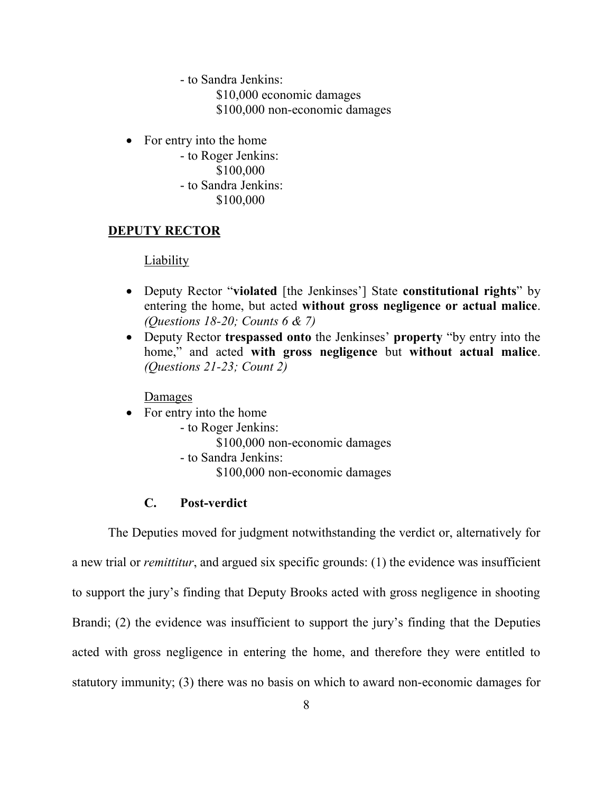- to Sandra Jenkins:

\$10,000 economic damages

\$100,000 non-economic damages

• For entry into the home

 - to Roger Jenkins: \$100,000 - to Sandra Jenkins: \$100,000

## **DEPUTY RECTOR**

### Liability

- Deputy Rector "**violated** [the Jenkinses'] State **constitutional rights**" by entering the home, but acted **without gross negligence or actual malice**. *(Questions 18-20; Counts 6 & 7)*
- Deputy Rector **trespassed onto** the Jenkinses' **property** "by entry into the home," and acted **with gross negligence** but **without actual malice**. *(Questions 21-23; Count 2)*

Damages

- For entry into the home
	- to Roger Jenkins:
		- \$100,000 non-economic damages
	- to Sandra Jenkins:
		- \$100,000 non-economic damages

# **C. Post-verdict**

The Deputies moved for judgment notwithstanding the verdict or, alternatively for a new trial or *remittitur*, and argued six specific grounds: (1) the evidence was insufficient to support the jury's finding that Deputy Brooks acted with gross negligence in shooting Brandi; (2) the evidence was insufficient to support the jury's finding that the Deputies acted with gross negligence in entering the home, and therefore they were entitled to statutory immunity; (3) there was no basis on which to award non-economic damages for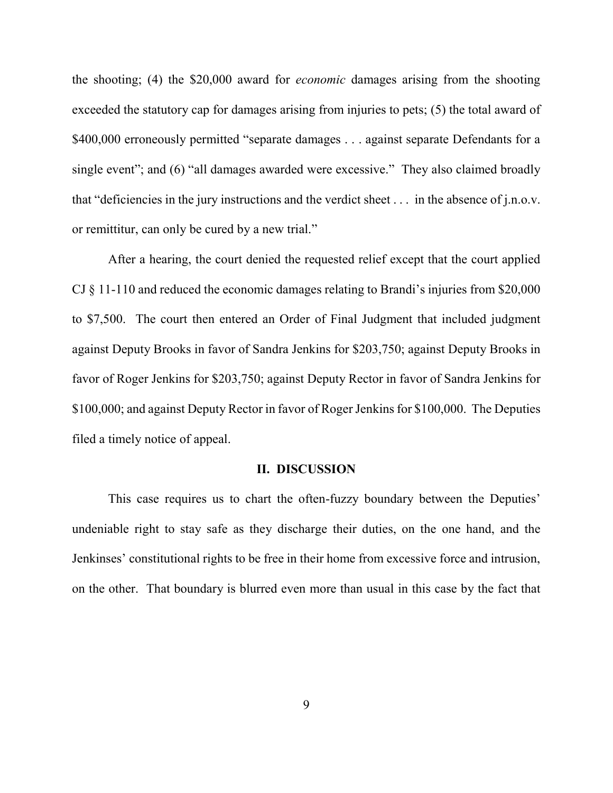the shooting; (4) the \$20,000 award for *economic* damages arising from the shooting exceeded the statutory cap for damages arising from injuries to pets; (5) the total award of \$400,000 erroneously permitted "separate damages . . . against separate Defendants for a single event"; and (6) "all damages awarded were excessive." They also claimed broadly that "deficiencies in the jury instructions and the verdict sheet . . . in the absence of j.n.o.v. or remittitur, can only be cured by a new trial."

 After a hearing, the court denied the requested relief except that the court applied CJ § 11-110 and reduced the economic damages relating to Brandi's injuries from \$20,000 to \$7,500. The court then entered an Order of Final Judgment that included judgment against Deputy Brooks in favor of Sandra Jenkins for \$203,750; against Deputy Brooks in favor of Roger Jenkins for \$203,750; against Deputy Rector in favor of Sandra Jenkins for \$100,000; and against Deputy Rector in favor of Roger Jenkins for \$100,000. The Deputies filed a timely notice of appeal.

#### **II. DISCUSSION**

This case requires us to chart the often-fuzzy boundary between the Deputies' undeniable right to stay safe as they discharge their duties, on the one hand, and the Jenkinses' constitutional rights to be free in their home from excessive force and intrusion, on the other. That boundary is blurred even more than usual in this case by the fact that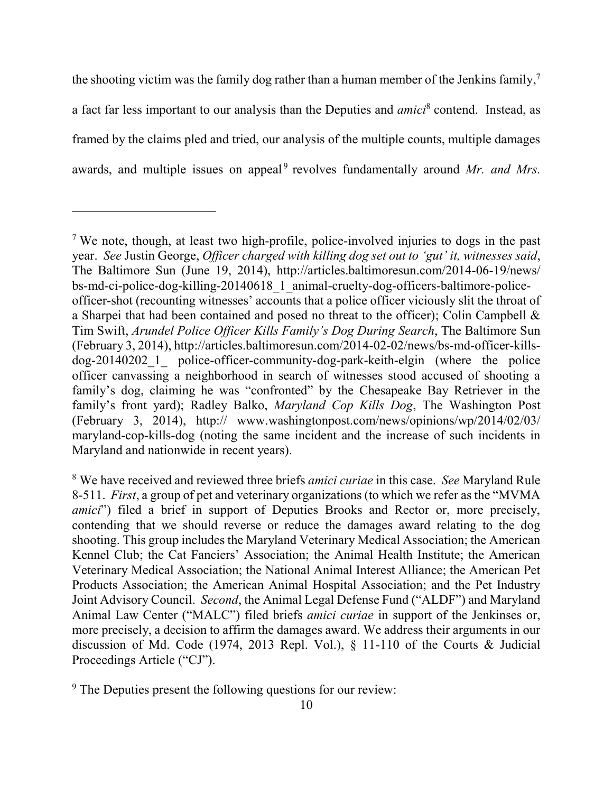the shooting victim was the family dog rather than a human member of the Jenkins family,<sup>7</sup> a fact far less important to our analysis than the Deputies and *amici*<sup>8</sup> contend. Instead, as framed by the claims pled and tried, our analysis of the multiple counts, multiple damages awards, and multiple issues on appeal<sup>9</sup> revolves fundamentally around Mr. and Mrs.

<sup>7</sup> We note, though, at least two high-profile, police-involved injuries to dogs in the past year. *See* Justin George, *Officer charged with killing dog set out to 'gut' it, witnesses said*, The Baltimore Sun (June 19, 2014), http://articles.baltimoresun.com/2014-06-19/news/ bs-md-ci-police-dog-killing-20140618\_1\_animal-cruelty-dog-officers-baltimore-policeofficer-shot (recounting witnesses' accounts that a police officer viciously slit the throat of a Sharpei that had been contained and posed no threat to the officer); Colin Campbell & Tim Swift, *Arundel Police Officer Kills Family's Dog During Search*, The Baltimore Sun (February 3, 2014), http://articles.baltimoresun.com/2014-02-02/news/bs-md-officer-killsdog-20140202\_1\_ police-officer-community-dog-park-keith-elgin (where the police officer canvassing a neighborhood in search of witnesses stood accused of shooting a family's dog, claiming he was "confronted" by the Chesapeake Bay Retriever in the family's front yard); Radley Balko, *Maryland Cop Kills Dog*, The Washington Post (February 3, 2014), http:// www.washingtonpost.com/news/opinions/wp/2014/02/03/ maryland-cop-kills-dog (noting the same incident and the increase of such incidents in Maryland and nationwide in recent years).

<sup>8</sup> We have received and reviewed three briefs *amici curiae* in this case. *See* Maryland Rule 8-511. *First*, a group of pet and veterinary organizations (to which we refer as the "MVMA *amici*") filed a brief in support of Deputies Brooks and Rector or, more precisely, contending that we should reverse or reduce the damages award relating to the dog shooting. This group includes the Maryland Veterinary Medical Association; the American Kennel Club; the Cat Fanciers' Association; the Animal Health Institute; the American Veterinary Medical Association; the National Animal Interest Alliance; the American Pet Products Association; the American Animal Hospital Association; and the Pet Industry Joint Advisory Council. *Second*, the Animal Legal Defense Fund ("ALDF") and Maryland Animal Law Center ("MALC") filed briefs *amici curiae* in support of the Jenkinses or, more precisely, a decision to affirm the damages award. We address their arguments in our discussion of Md. Code (1974, 2013 Repl. Vol.), § 11-110 of the Courts & Judicial Proceedings Article ("CJ").

<sup>&</sup>lt;sup>9</sup> The Deputies present the following questions for our review: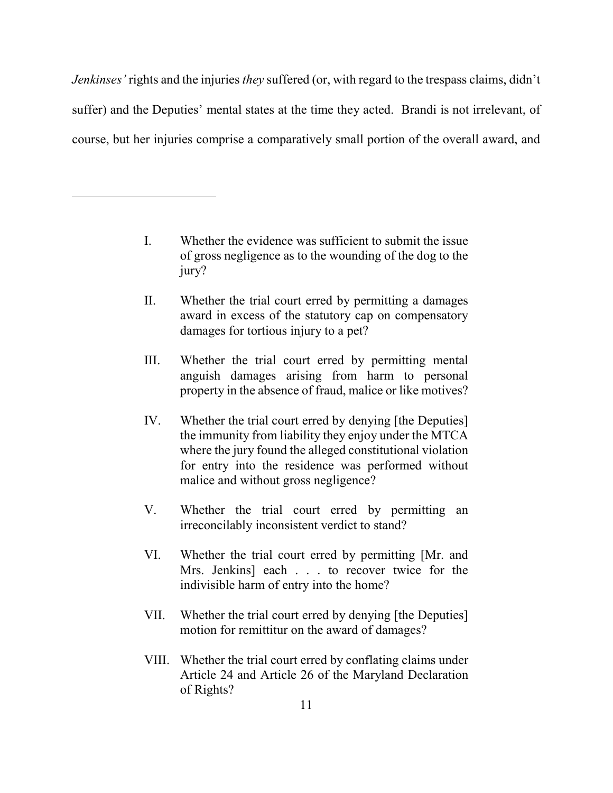*Jenkinses'* rights and the injuries *they* suffered (or, with regard to the trespass claims, didn't suffer) and the Deputies' mental states at the time they acted. Brandi is not irrelevant, of course, but her injuries comprise a comparatively small portion of the overall award, and

> I. Whether the evidence was sufficient to submit the issue of gross negligence as to the wounding of the dog to the jury?

- II. Whether the trial court erred by permitting a damages award in excess of the statutory cap on compensatory damages for tortious injury to a pet?
- III. Whether the trial court erred by permitting mental anguish damages arising from harm to personal property in the absence of fraud, malice or like motives?
- IV. Whether the trial court erred by denying [the Deputies] the immunity from liability they enjoy under the MTCA where the jury found the alleged constitutional violation for entry into the residence was performed without malice and without gross negligence?
- V. Whether the trial court erred by permitting an irreconcilably inconsistent verdict to stand?
- VI. Whether the trial court erred by permitting [Mr. and Mrs. Jenkins] each . . . to recover twice for the indivisible harm of entry into the home?
- VII. Whether the trial court erred by denying [the Deputies] motion for remittitur on the award of damages?
- VIII. Whether the trial court erred by conflating claims under Article 24 and Article 26 of the Maryland Declaration of Rights?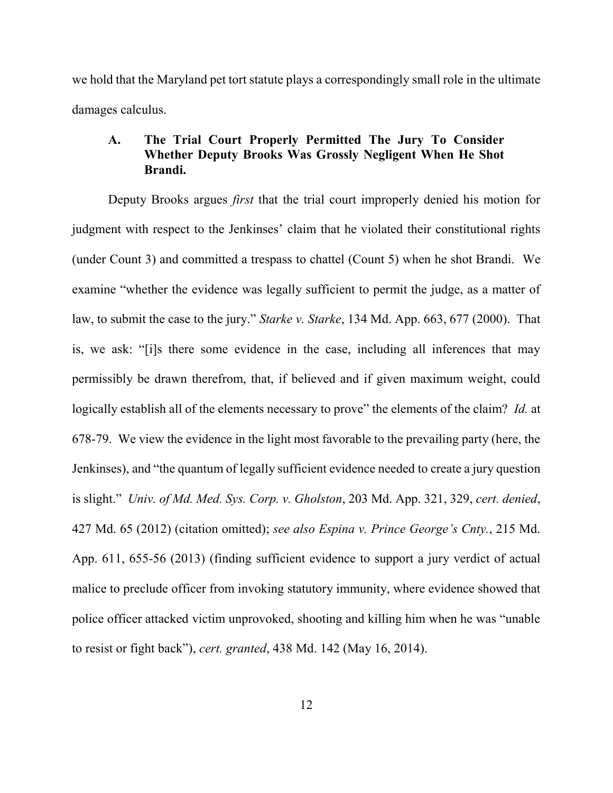we hold that the Maryland pet tort statute plays a correspondingly small role in the ultimate damages calculus.

# **A. The Trial Court Properly Permitted The Jury To Consider Whether Deputy Brooks Was Grossly Negligent When He Shot Brandi.**

 Deputy Brooks argues *first* that the trial court improperly denied his motion for judgment with respect to the Jenkinses' claim that he violated their constitutional rights (under Count 3) and committed a trespass to chattel (Count 5) when he shot Brandi. We examine "whether the evidence was legally sufficient to permit the judge, as a matter of law, to submit the case to the jury." *Starke v. Starke*, 134 Md. App. 663, 677 (2000). That is, we ask: "[i]s there some evidence in the case, including all inferences that may permissibly be drawn therefrom, that, if believed and if given maximum weight, could logically establish all of the elements necessary to prove" the elements of the claim? *Id.* at 678-79. We view the evidence in the light most favorable to the prevailing party (here, the Jenkinses), and "the quantum of legally sufficient evidence needed to create a jury question is slight." *Univ. of Md. Med. Sys. Corp. v. Gholston*, 203 Md. App. 321, 329, *cert. denied*, 427 Md. 65 (2012) (citation omitted); *see also Espina v. Prince George's Cnty.*, 215 Md. App. 611, 655-56 (2013) (finding sufficient evidence to support a jury verdict of actual malice to preclude officer from invoking statutory immunity, where evidence showed that police officer attacked victim unprovoked, shooting and killing him when he was "unable to resist or fight back"), *cert. granted*, 438 Md. 142 (May 16, 2014).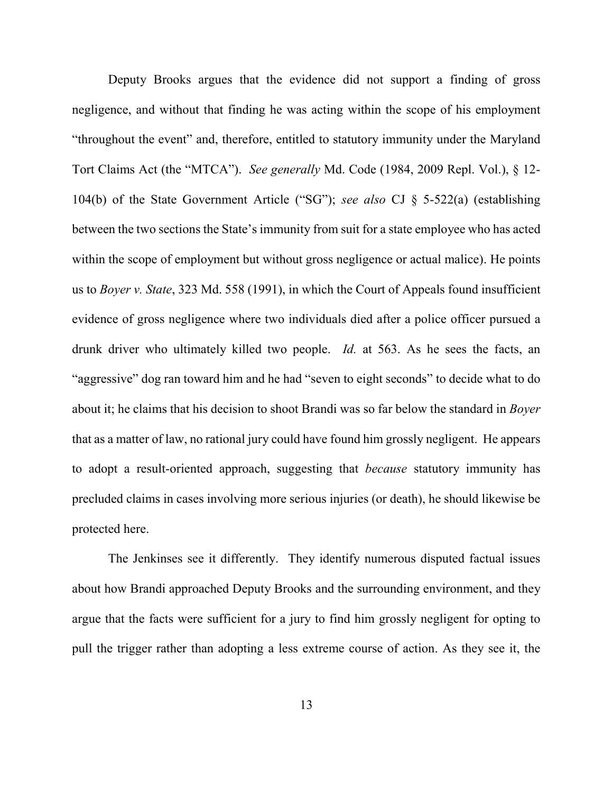Deputy Brooks argues that the evidence did not support a finding of gross negligence, and without that finding he was acting within the scope of his employment "throughout the event" and, therefore, entitled to statutory immunity under the Maryland Tort Claims Act (the "MTCA"). *See generally* Md. Code (1984, 2009 Repl. Vol.), § 12- 104(b) of the State Government Article ("SG"); *see also* CJ § 5-522(a) (establishing between the two sections the State's immunity from suit for a state employee who has acted within the scope of employment but without gross negligence or actual malice). He points us to *Boyer v. State*, 323 Md. 558 (1991), in which the Court of Appeals found insufficient evidence of gross negligence where two individuals died after a police officer pursued a drunk driver who ultimately killed two people. *Id.* at 563. As he sees the facts, an "aggressive" dog ran toward him and he had "seven to eight seconds" to decide what to do about it; he claims that his decision to shoot Brandi was so far below the standard in *Boyer*  that as a matter of law, no rational jury could have found him grossly negligent. He appears to adopt a result-oriented approach, suggesting that *because* statutory immunity has precluded claims in cases involving more serious injuries (or death), he should likewise be protected here.

 The Jenkinses see it differently. They identify numerous disputed factual issues about how Brandi approached Deputy Brooks and the surrounding environment, and they argue that the facts were sufficient for a jury to find him grossly negligent for opting to pull the trigger rather than adopting a less extreme course of action. As they see it, the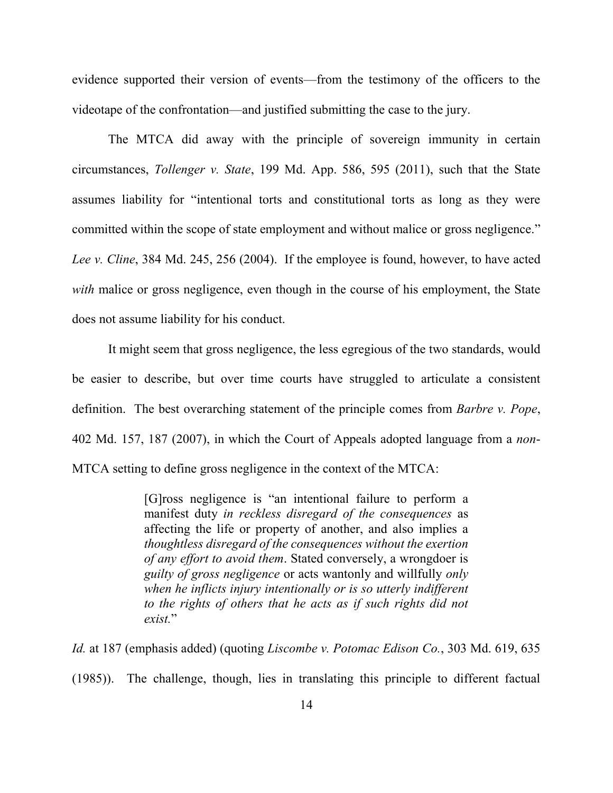evidence supported their version of events—from the testimony of the officers to the videotape of the confrontation—and justified submitting the case to the jury.

 The MTCA did away with the principle of sovereign immunity in certain circumstances, *Tollenger v. State*, 199 Md. App. 586, 595 (2011), such that the State assumes liability for "intentional torts and constitutional torts as long as they were committed within the scope of state employment and without malice or gross negligence." *Lee v. Cline*, 384 Md. 245, 256 (2004). If the employee is found, however, to have acted *with* malice or gross negligence, even though in the course of his employment, the State does not assume liability for his conduct.

It might seem that gross negligence, the less egregious of the two standards, would be easier to describe, but over time courts have struggled to articulate a consistent definition. The best overarching statement of the principle comes from *Barbre v. Pope*, 402 Md. 157, 187 (2007), in which the Court of Appeals adopted language from a *non*-MTCA setting to define gross negligence in the context of the MTCA:

> [G]ross negligence is "an intentional failure to perform a manifest duty *in reckless disregard of the consequences* as affecting the life or property of another, and also implies a *thoughtless disregard of the consequences without the exertion of any effort to avoid them*. Stated conversely, a wrongdoer is *guilty of gross negligence* or acts wantonly and willfully *only when he inflicts injury intentionally or is so utterly indifferent to the rights of others that he acts as if such rights did not exist.*"

*Id.* at 187 (emphasis added) (quoting *Liscombe v. Potomac Edison Co.*, 303 Md. 619, 635 (1985)). The challenge, though, lies in translating this principle to different factual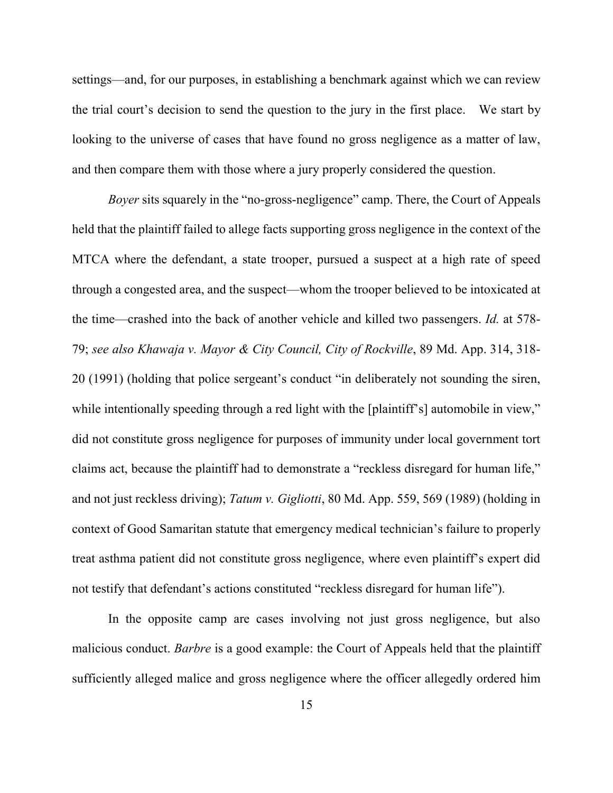settings—and, for our purposes, in establishing a benchmark against which we can review the trial court's decision to send the question to the jury in the first place. We start by looking to the universe of cases that have found no gross negligence as a matter of law, and then compare them with those where a jury properly considered the question.

*Boyer* sits squarely in the "no-gross-negligence" camp. There, the Court of Appeals held that the plaintiff failed to allege facts supporting gross negligence in the context of the MTCA where the defendant, a state trooper, pursued a suspect at a high rate of speed through a congested area, and the suspect—whom the trooper believed to be intoxicated at the time—crashed into the back of another vehicle and killed two passengers. *Id.* at 578- 79; *see also Khawaja v. Mayor & City Council, City of Rockville*, 89 Md. App. 314, 318- 20 (1991) (holding that police sergeant's conduct "in deliberately not sounding the siren, while intentionally speeding through a red light with the [plaintiff's] automobile in view," did not constitute gross negligence for purposes of immunity under local government tort claims act, because the plaintiff had to demonstrate a "reckless disregard for human life," and not just reckless driving); *Tatum v. Gigliotti*, 80 Md. App. 559, 569 (1989) (holding in context of Good Samaritan statute that emergency medical technician's failure to properly treat asthma patient did not constitute gross negligence, where even plaintiff's expert did not testify that defendant's actions constituted "reckless disregard for human life").

 In the opposite camp are cases involving not just gross negligence, but also malicious conduct. *Barbre* is a good example: the Court of Appeals held that the plaintiff sufficiently alleged malice and gross negligence where the officer allegedly ordered him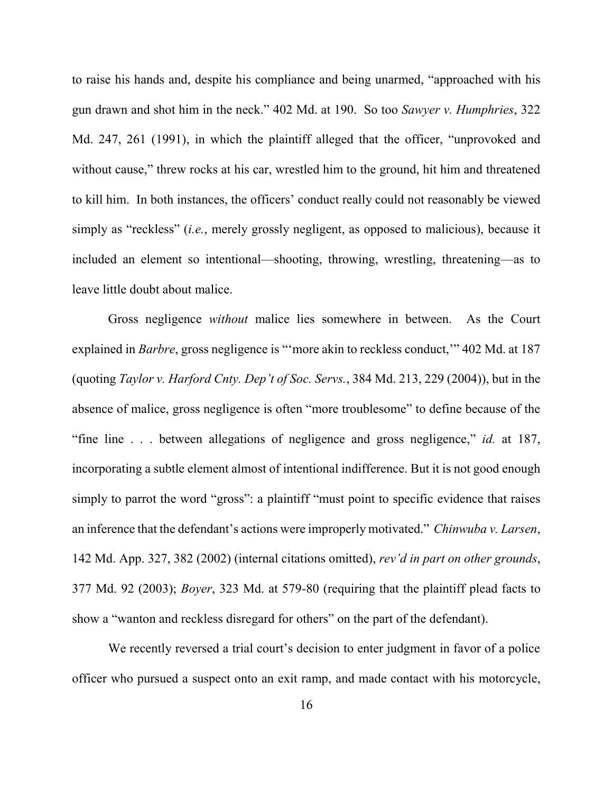to raise his hands and, despite his compliance and being unarmed, "approached with his gun drawn and shot him in the neck." 402 Md. at 190. So too *Sawyer v. Humphries*, 322 Md. 247, 261 (1991), in which the plaintiff alleged that the officer, "unprovoked and without cause," threw rocks at his car, wrestled him to the ground, hit him and threatened to kill him. In both instances, the officers' conduct really could not reasonably be viewed simply as "reckless" (*i.e.*, merely grossly negligent, as opposed to malicious), because it included an element so intentional—shooting, throwing, wrestling, threatening—as to leave little doubt about malice.

 Gross negligence *without* malice lies somewhere in between. As the Court explained in *Barbre*, gross negligence is "more akin to reckless conduct," 402 Md. at 187 (quoting *Taylor v. Harford Cnty. Dep't of Soc. Servs.*, 384 Md. 213, 229 (2004)), but in the absence of malice, gross negligence is often "more troublesome" to define because of the "fine line . . . between allegations of negligence and gross negligence," *id.* at 187, incorporating a subtle element almost of intentional indifference. But it is not good enough simply to parrot the word "gross": a plaintiff "must point to specific evidence that raises an inference that the defendant's actions were improperly motivated." *Chinwuba v. Larsen*, 142 Md. App. 327, 382 (2002) (internal citations omitted), *rev'd in part on other grounds*, 377 Md. 92 (2003); *Boyer*, 323 Md. at 579-80 (requiring that the plaintiff plead facts to show a "wanton and reckless disregard for others" on the part of the defendant).

We recently reversed a trial court's decision to enter judgment in favor of a police officer who pursued a suspect onto an exit ramp, and made contact with his motorcycle,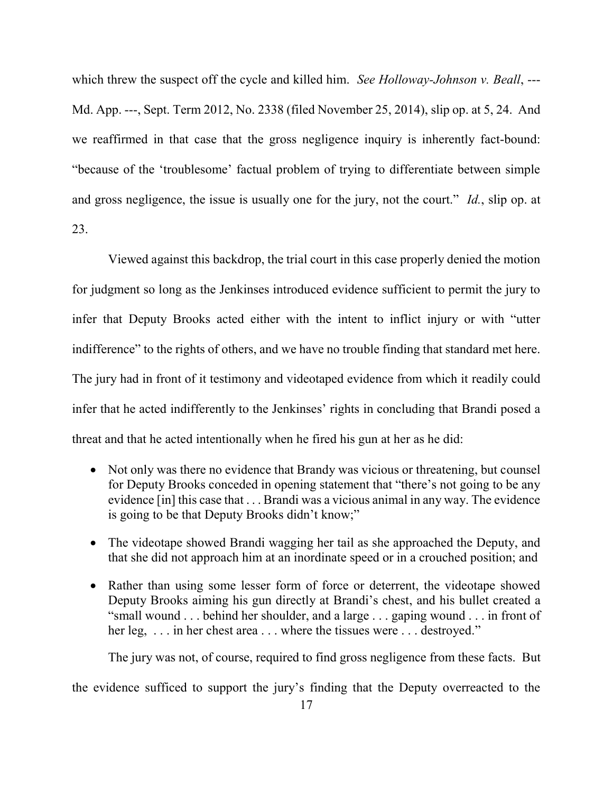which threw the suspect off the cycle and killed him. *See Holloway-Johnson v. Beall*, ---Md. App. ---, Sept. Term 2012, No. 2338 (filed November 25, 2014), slip op. at 5, 24. And we reaffirmed in that case that the gross negligence inquiry is inherently fact-bound: "because of the 'troublesome' factual problem of trying to differentiate between simple and gross negligence, the issue is usually one for the jury, not the court." *Id.*, slip op. at 23.

Viewed against this backdrop, the trial court in this case properly denied the motion for judgment so long as the Jenkinses introduced evidence sufficient to permit the jury to infer that Deputy Brooks acted either with the intent to inflict injury or with "utter indifference" to the rights of others, and we have no trouble finding that standard met here. The jury had in front of it testimony and videotaped evidence from which it readily could infer that he acted indifferently to the Jenkinses' rights in concluding that Brandi posed a threat and that he acted intentionally when he fired his gun at her as he did:

- Not only was there no evidence that Brandy was vicious or threatening, but counsel for Deputy Brooks conceded in opening statement that "there's not going to be any evidence [in] this case that . . . Brandi was a vicious animal in any way. The evidence is going to be that Deputy Brooks didn't know;"
- The videotape showed Brandi wagging her tail as she approached the Deputy, and that she did not approach him at an inordinate speed or in a crouched position; and
- Rather than using some lesser form of force or deterrent, the videotape showed Deputy Brooks aiming his gun directly at Brandi's chest, and his bullet created a "small wound . . . behind her shoulder, and a large . . . gaping wound . . . in front of her leg, ... in her chest area ... where the tissues were ... destroyed."

The jury was not, of course, required to find gross negligence from these facts. But

the evidence sufficed to support the jury's finding that the Deputy overreacted to the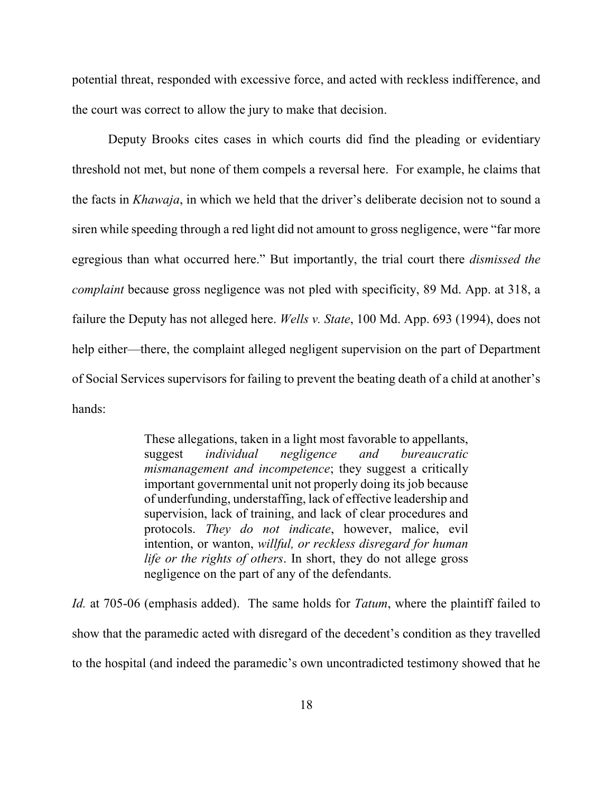potential threat, responded with excessive force, and acted with reckless indifference, and the court was correct to allow the jury to make that decision.

Deputy Brooks cites cases in which courts did find the pleading or evidentiary threshold not met, but none of them compels a reversal here. For example, he claims that the facts in *Khawaja*, in which we held that the driver's deliberate decision not to sound a siren while speeding through a red light did not amount to gross negligence, were "far more egregious than what occurred here." But importantly, the trial court there *dismissed the complaint* because gross negligence was not pled with specificity, 89 Md. App. at 318, a failure the Deputy has not alleged here. *Wells v. State*, 100 Md. App. 693 (1994), does not help either—there, the complaint alleged negligent supervision on the part of Department of Social Services supervisors for failing to prevent the beating death of a child at another's hands:

> These allegations, taken in a light most favorable to appellants, suggest *individual negligence and bureaucratic mismanagement and incompetence*; they suggest a critically important governmental unit not properly doing its job because of underfunding, understaffing, lack of effective leadership and supervision, lack of training, and lack of clear procedures and protocols. *They do not indicate*, however, malice, evil intention, or wanton, *willful, or reckless disregard for human life or the rights of others*. In short, they do not allege gross negligence on the part of any of the defendants.

*Id.* at 705-06 (emphasis added). The same holds for *Tatum*, where the plaintiff failed to show that the paramedic acted with disregard of the decedent's condition as they travelled to the hospital (and indeed the paramedic's own uncontradicted testimony showed that he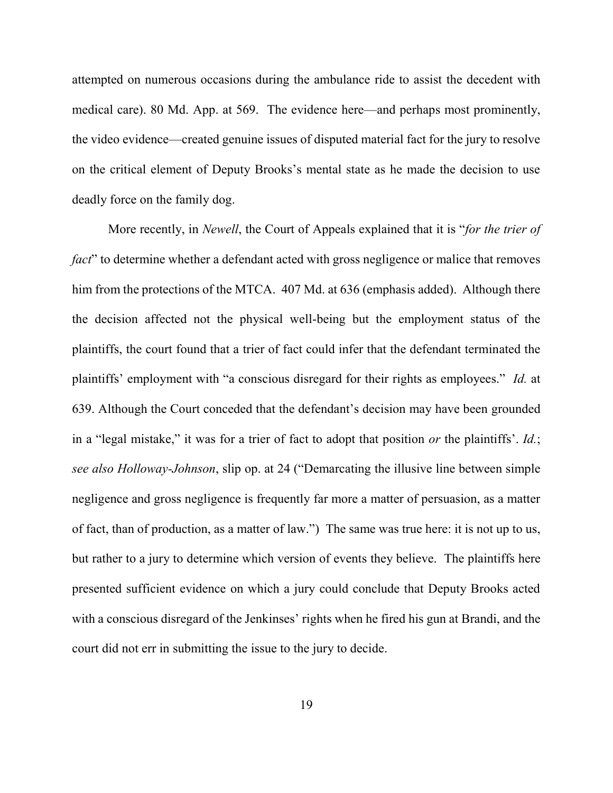attempted on numerous occasions during the ambulance ride to assist the decedent with medical care). 80 Md. App. at 569. The evidence here—and perhaps most prominently, the video evidence—created genuine issues of disputed material fact for the jury to resolve on the critical element of Deputy Brooks's mental state as he made the decision to use deadly force on the family dog.

 More recently, in *Newell*, the Court of Appeals explained that it is "*for the trier of fact*" to determine whether a defendant acted with gross negligence or malice that removes him from the protections of the MTCA. 407 Md. at 636 (emphasis added). Although there the decision affected not the physical well-being but the employment status of the plaintiffs, the court found that a trier of fact could infer that the defendant terminated the plaintiffs' employment with "a conscious disregard for their rights as employees." *Id.* at 639. Although the Court conceded that the defendant's decision may have been grounded in a "legal mistake," it was for a trier of fact to adopt that position *or* the plaintiffs'. *Id.*; *see also Holloway-Johnson*, slip op. at 24 ("Demarcating the illusive line between simple negligence and gross negligence is frequently far more a matter of persuasion, as a matter of fact, than of production, as a matter of law.") The same was true here: it is not up to us, but rather to a jury to determine which version of events they believe. The plaintiffs here presented sufficient evidence on which a jury could conclude that Deputy Brooks acted with a conscious disregard of the Jenkinses' rights when he fired his gun at Brandi, and the court did not err in submitting the issue to the jury to decide.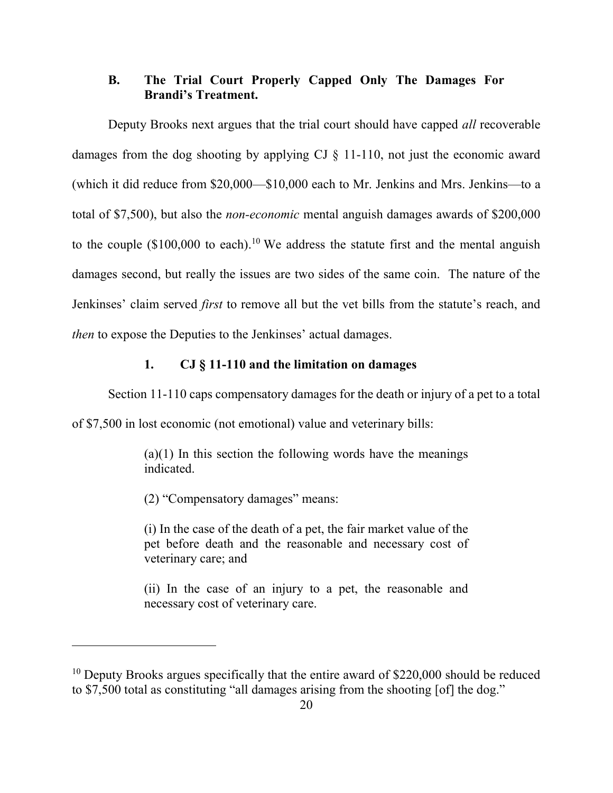## **B. The Trial Court Properly Capped Only The Damages For Brandi's Treatment.**

Deputy Brooks next argues that the trial court should have capped *all* recoverable damages from the dog shooting by applying CJ § 11-110, not just the economic award (which it did reduce from \$20,000—\$10,000 each to Mr. Jenkins and Mrs. Jenkins—to a total of \$7,500), but also the *non-economic* mental anguish damages awards of \$200,000 to the couple  $(\$100,000$  to each).<sup>10</sup> We address the statute first and the mental anguish damages second, but really the issues are two sides of the same coin. The nature of the Jenkinses' claim served *first* to remove all but the vet bills from the statute's reach, and *then* to expose the Deputies to the Jenkinses' actual damages.

### **1. CJ § 11-110 and the limitation on damages**

Section 11-110 caps compensatory damages for the death or injury of a pet to a total

of \$7,500 in lost economic (not emotional) value and veterinary bills:

 $(a)(1)$  In this section the following words have the meanings indicated.

(2) "Compensatory damages" means:

 $\overline{a}$ 

(i) In the case of the death of a pet, the fair market value of the pet before death and the reasonable and necessary cost of veterinary care; and

(ii) In the case of an injury to a pet, the reasonable and necessary cost of veterinary care.

 $10$  Deputy Brooks argues specifically that the entire award of \$220,000 should be reduced to \$7,500 total as constituting "all damages arising from the shooting [of] the dog."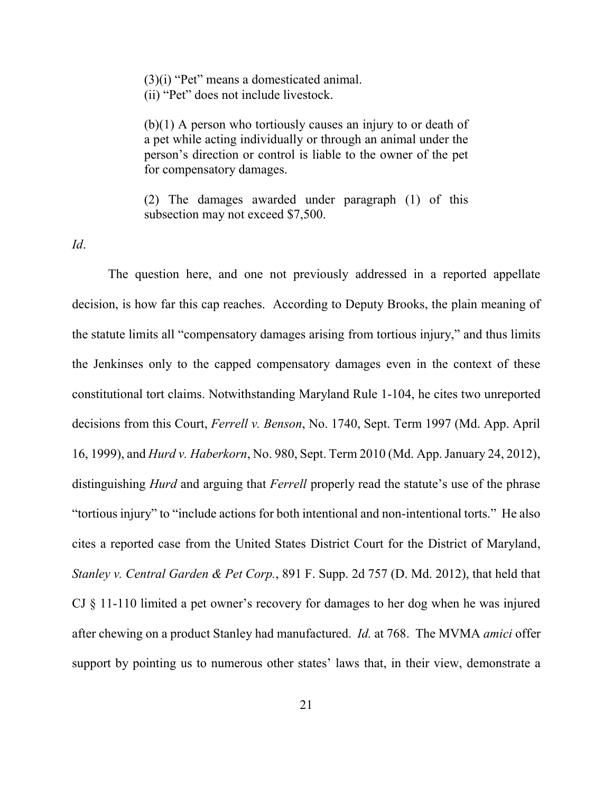(3)(i) "Pet" means a domesticated animal. (ii) "Pet" does not include livestock.

(b)(1) A person who tortiously causes an injury to or death of a pet while acting individually or through an animal under the person's direction or control is liable to the owner of the pet for compensatory damages.

(2) The damages awarded under paragraph (1) of this subsection may not exceed \$7,500.

*Id*.

 The question here, and one not previously addressed in a reported appellate decision, is how far this cap reaches. According to Deputy Brooks, the plain meaning of the statute limits all "compensatory damages arising from tortious injury," and thus limits the Jenkinses only to the capped compensatory damages even in the context of these constitutional tort claims. Notwithstanding Maryland Rule 1-104, he cites two unreported decisions from this Court, *Ferrell v. Benson*, No. 1740, Sept. Term 1997 (Md. App. April 16, 1999), and *Hurd v. Haberkorn*, No. 980, Sept. Term 2010 (Md. App. January 24, 2012), distinguishing *Hurd* and arguing that *Ferrell* properly read the statute's use of the phrase "tortious injury" to "include actions for both intentional and non-intentional torts." He also cites a reported case from the United States District Court for the District of Maryland, *Stanley v. Central Garden & Pet Corp.*, 891 F. Supp. 2d 757 (D. Md. 2012), that held that CJ § 11-110 limited a pet owner's recovery for damages to her dog when he was injured after chewing on a product Stanley had manufactured. *Id.* at 768. The MVMA *amici* offer support by pointing us to numerous other states' laws that, in their view, demonstrate a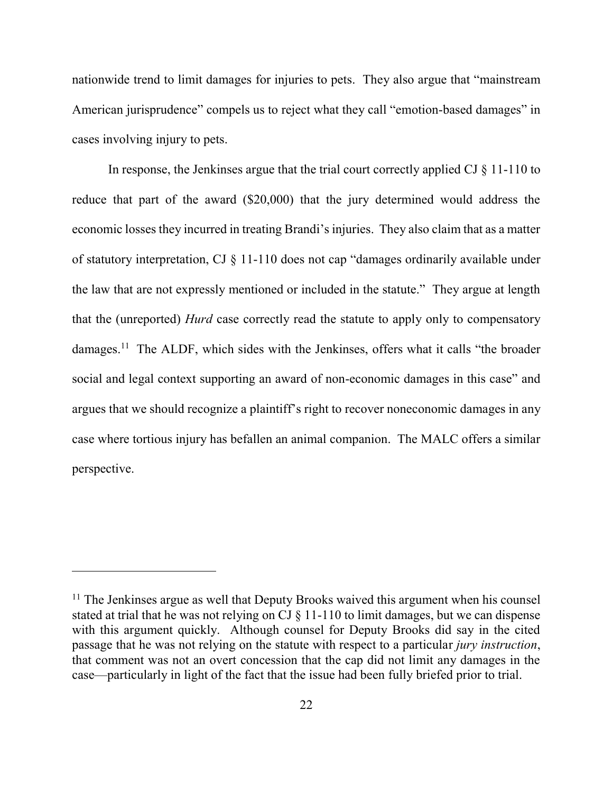nationwide trend to limit damages for injuries to pets. They also argue that "mainstream American jurisprudence" compels us to reject what they call "emotion-based damages" in cases involving injury to pets.

 In response, the Jenkinses argue that the trial court correctly applied CJ § 11-110 to reduce that part of the award (\$20,000) that the jury determined would address the economic losses they incurred in treating Brandi's injuries. They also claim that as a matter of statutory interpretation, CJ § 11-110 does not cap "damages ordinarily available under the law that are not expressly mentioned or included in the statute." They argue at length that the (unreported) *Hurd* case correctly read the statute to apply only to compensatory damages.<sup>11</sup> The ALDF, which sides with the Jenkinses, offers what it calls "the broader" social and legal context supporting an award of non-economic damages in this case" and argues that we should recognize a plaintiff's right to recover noneconomic damages in any case where tortious injury has befallen an animal companion. The MALC offers a similar perspective.

<sup>&</sup>lt;sup>11</sup> The Jenkinses argue as well that Deputy Brooks waived this argument when his counsel stated at trial that he was not relying on CJ § 11-110 to limit damages, but we can dispense with this argument quickly. Although counsel for Deputy Brooks did say in the cited passage that he was not relying on the statute with respect to a particular *jury instruction*, that comment was not an overt concession that the cap did not limit any damages in the case—particularly in light of the fact that the issue had been fully briefed prior to trial.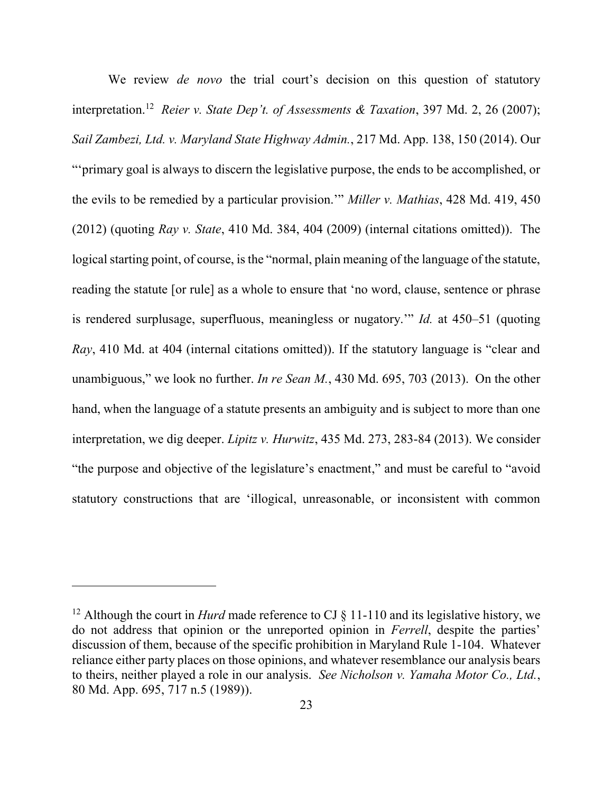We review *de novo* the trial court's decision on this question of statutory interpretation. <sup>12</sup> *Reier v. State Dep't. of Assessments & Taxation*, 397 Md. 2, 26 (2007); *Sail Zambezi, Ltd. v. Maryland State Highway Admin.*, 217 Md. App. 138, 150 (2014). Our

"'primary goal is always to discern the legislative purpose, the ends to be accomplished, or the evils to be remedied by a particular provision.'" *Miller v. Mathias*, 428 Md. 419, 450 (2012) (quoting *Ray v. State*, 410 Md. 384, 404 (2009) (internal citations omitted)). The logical starting point, of course, is the "normal, plain meaning of the language of the statute, reading the statute [or rule] as a whole to ensure that 'no word, clause, sentence or phrase is rendered surplusage, superfluous, meaningless or nugatory.'" *Id.* at 450–51 (quoting *Ray*, 410 Md. at 404 (internal citations omitted)). If the statutory language is "clear and unambiguous," we look no further. *In re Sean M.*, 430 Md. 695, 703 (2013). On the other hand, when the language of a statute presents an ambiguity and is subject to more than one interpretation, we dig deeper. *Lipitz v. Hurwitz*, 435 Md. 273, 283-84 (2013). We consider "the purpose and objective of the legislature's enactment," and must be careful to "avoid statutory constructions that are 'illogical, unreasonable, or inconsistent with common

<sup>&</sup>lt;sup>12</sup> Although the court in *Hurd* made reference to CJ  $\S$  11-110 and its legislative history, we do not address that opinion or the unreported opinion in *Ferrell*, despite the parties' discussion of them, because of the specific prohibition in Maryland Rule 1-104. Whatever reliance either party places on those opinions, and whatever resemblance our analysis bears to theirs, neither played a role in our analysis. *See Nicholson v. Yamaha Motor Co., Ltd.*, 80 Md. App. 695, 717 n.5 (1989)).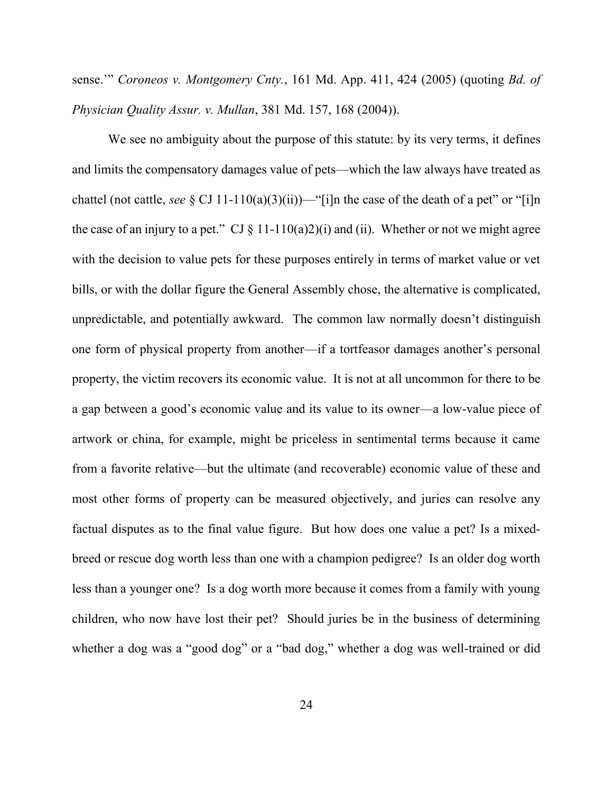sense.'" *Coroneos v. Montgomery Cnty.*, 161 Md. App. 411, 424 (2005) (quoting *Bd. of Physician Quality Assur. v. Mullan*, 381 Md. 157, 168 (2004)).

We see no ambiguity about the purpose of this statute: by its very terms, it defines and limits the compensatory damages value of pets—which the law always have treated as chattel (not cattle, *see*  $\S$  CJ 11-110(a)(3)(ii))—"[i]n the case of the death of a pet" or "[i]n the case of an injury to a pet." CJ  $\S$  11-110(a)2)(i) and (ii). Whether or not we might agree with the decision to value pets for these purposes entirely in terms of market value or vet bills, or with the dollar figure the General Assembly chose, the alternative is complicated, unpredictable, and potentially awkward. The common law normally doesn't distinguish one form of physical property from another—if a tortfeasor damages another's personal property, the victim recovers its economic value. It is not at all uncommon for there to be a gap between a good's economic value and its value to its owner—a low-value piece of artwork or china, for example, might be priceless in sentimental terms because it came from a favorite relative—but the ultimate (and recoverable) economic value of these and most other forms of property can be measured objectively, and juries can resolve any factual disputes as to the final value figure. But how does one value a pet? Is a mixedbreed or rescue dog worth less than one with a champion pedigree? Is an older dog worth less than a younger one? Is a dog worth more because it comes from a family with young children, who now have lost their pet? Should juries be in the business of determining whether a dog was a "good dog" or a "bad dog," whether a dog was well-trained or did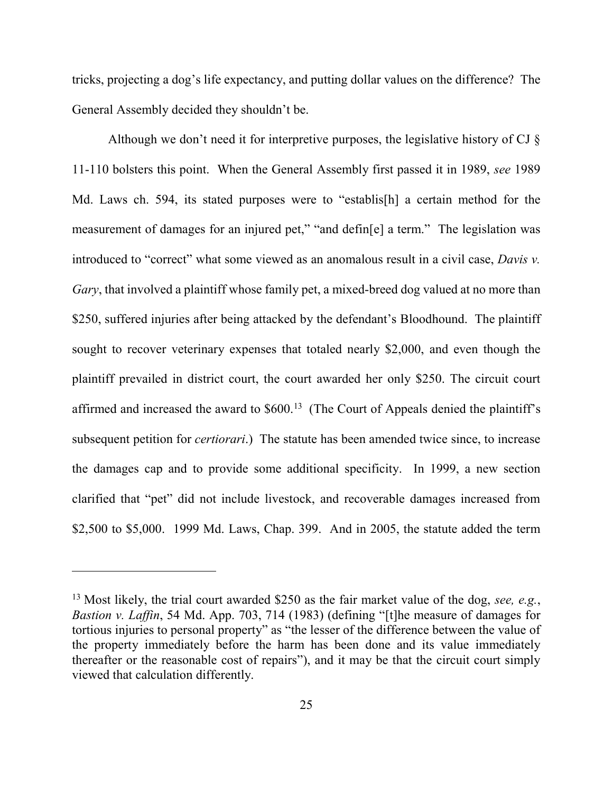tricks, projecting a dog's life expectancy, and putting dollar values on the difference? The General Assembly decided they shouldn't be.

Although we don't need it for interpretive purposes, the legislative history of CJ § 11-110 bolsters this point. When the General Assembly first passed it in 1989, *see* 1989 Md. Laws ch. 594, its stated purposes were to "establis[h] a certain method for the measurement of damages for an injured pet," "and defin[e] a term." The legislation was introduced to "correct" what some viewed as an anomalous result in a civil case, *Davis v. Gary*, that involved a plaintiff whose family pet, a mixed-breed dog valued at no more than \$250, suffered injuries after being attacked by the defendant's Bloodhound. The plaintiff sought to recover veterinary expenses that totaled nearly \$2,000, and even though the plaintiff prevailed in district court, the court awarded her only \$250. The circuit court affirmed and increased the award to  $$600<sup>13</sup>$  (The Court of Appeals denied the plaintiff's subsequent petition for *certiorari*.) The statute has been amended twice since, to increase the damages cap and to provide some additional specificity. In 1999, a new section clarified that "pet" did not include livestock, and recoverable damages increased from \$2,500 to \$5,000. 1999 Md. Laws, Chap. 399. And in 2005, the statute added the term

<sup>13</sup> Most likely, the trial court awarded \$250 as the fair market value of the dog, *see, e.g.*, *Bastion v. Laffin*, 54 Md. App. 703, 714 (1983) (defining "[t]he measure of damages for tortious injuries to personal property" as "the lesser of the difference between the value of the property immediately before the harm has been done and its value immediately thereafter or the reasonable cost of repairs"), and it may be that the circuit court simply viewed that calculation differently.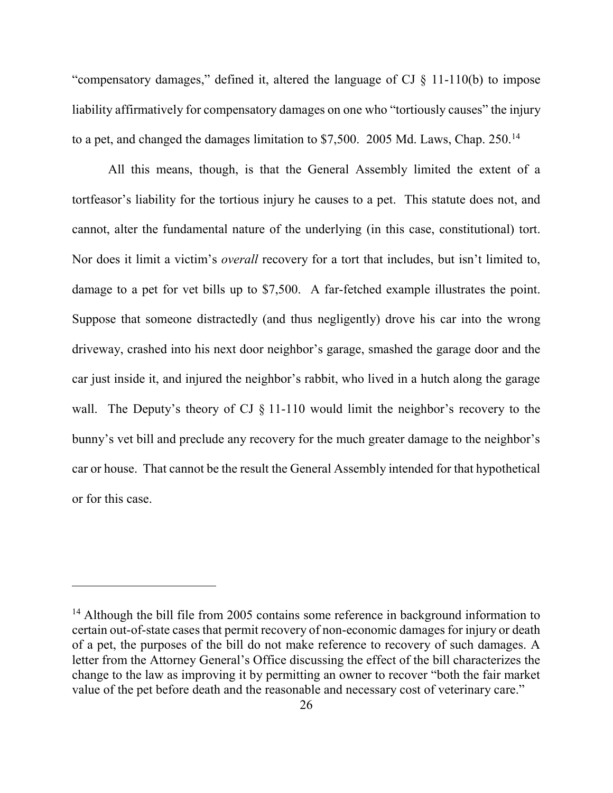"compensatory damages," defined it, altered the language of CJ § 11-110(b) to impose liability affirmatively for compensatory damages on one who "tortiously causes" the injury to a pet, and changed the damages limitation to \$7,500. 2005 Md. Laws, Chap. 250.<sup>14</sup>

 All this means, though, is that the General Assembly limited the extent of a tortfeasor's liability for the tortious injury he causes to a pet. This statute does not, and cannot, alter the fundamental nature of the underlying (in this case, constitutional) tort. Nor does it limit a victim's *overall* recovery for a tort that includes, but isn't limited to, damage to a pet for vet bills up to \$7,500. A far-fetched example illustrates the point. Suppose that someone distractedly (and thus negligently) drove his car into the wrong driveway, crashed into his next door neighbor's garage, smashed the garage door and the car just inside it, and injured the neighbor's rabbit, who lived in a hutch along the garage wall. The Deputy's theory of CJ  $\S$  11-110 would limit the neighbor's recovery to the bunny's vet bill and preclude any recovery for the much greater damage to the neighbor's car or house. That cannot be the result the General Assembly intended for that hypothetical or for this case.

<sup>&</sup>lt;sup>14</sup> Although the bill file from 2005 contains some reference in background information to certain out-of-state cases that permit recovery of non-economic damages for injury or death of a pet, the purposes of the bill do not make reference to recovery of such damages. A letter from the Attorney General's Office discussing the effect of the bill characterizes the change to the law as improving it by permitting an owner to recover "both the fair market value of the pet before death and the reasonable and necessary cost of veterinary care."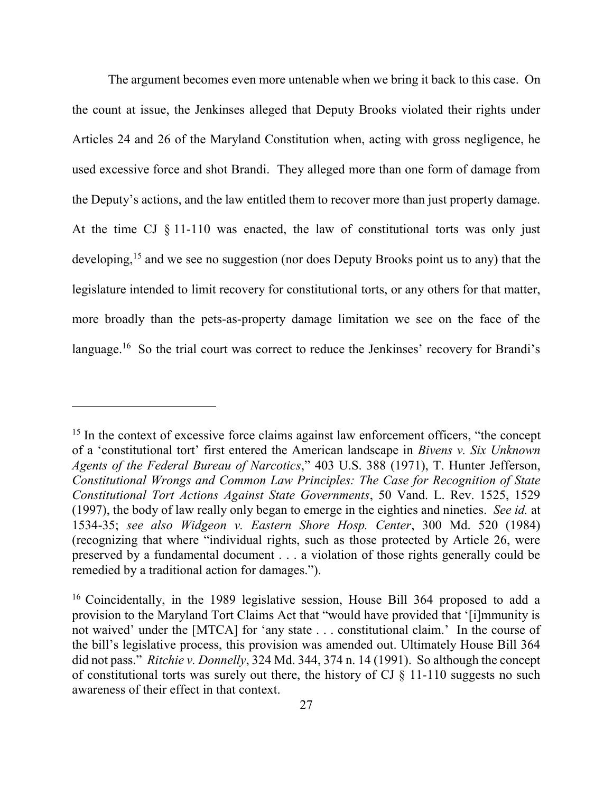The argument becomes even more untenable when we bring it back to this case. On the count at issue, the Jenkinses alleged that Deputy Brooks violated their rights under Articles 24 and 26 of the Maryland Constitution when, acting with gross negligence, he used excessive force and shot Brandi. They alleged more than one form of damage from the Deputy's actions, and the law entitled them to recover more than just property damage. At the time CJ § 11-110 was enacted, the law of constitutional torts was only just developing,<sup>15</sup> and we see no suggestion (nor does Deputy Brooks point us to any) that the legislature intended to limit recovery for constitutional torts, or any others for that matter, more broadly than the pets-as-property damage limitation we see on the face of the language.<sup>16</sup> So the trial court was correct to reduce the Jenkinses' recovery for Brandi's

<sup>&</sup>lt;sup>15</sup> In the context of excessive force claims against law enforcement officers, "the concept" of a 'constitutional tort' first entered the American landscape in *Bivens v. Six Unknown Agents of the Federal Bureau of Narcotics*," 403 U.S. 388 (1971), T. Hunter Jefferson, *Constitutional Wrongs and Common Law Principles: The Case for Recognition of State Constitutional Tort Actions Against State Governments*, 50 Vand. L. Rev. 1525, 1529 (1997), the body of law really only began to emerge in the eighties and nineties. *See id.* at 1534-35; *see also Widgeon v. Eastern Shore Hosp. Center*, 300 Md. 520 (1984) (recognizing that where "individual rights, such as those protected by Article 26, were preserved by a fundamental document . . . a violation of those rights generally could be remedied by a traditional action for damages.").

<sup>16</sup> Coincidentally, in the 1989 legislative session, House Bill 364 proposed to add a provision to the Maryland Tort Claims Act that "would have provided that '[i]mmunity is not waived' under the [MTCA] for 'any state . . . constitutional claim.' In the course of the bill's legislative process, this provision was amended out. Ultimately House Bill 364 did not pass." *Ritchie v. Donnelly*, 324 Md. 344, 374 n. 14 (1991). So although the concept of constitutional torts was surely out there, the history of CJ  $\S$  11-110 suggests no such awareness of their effect in that context.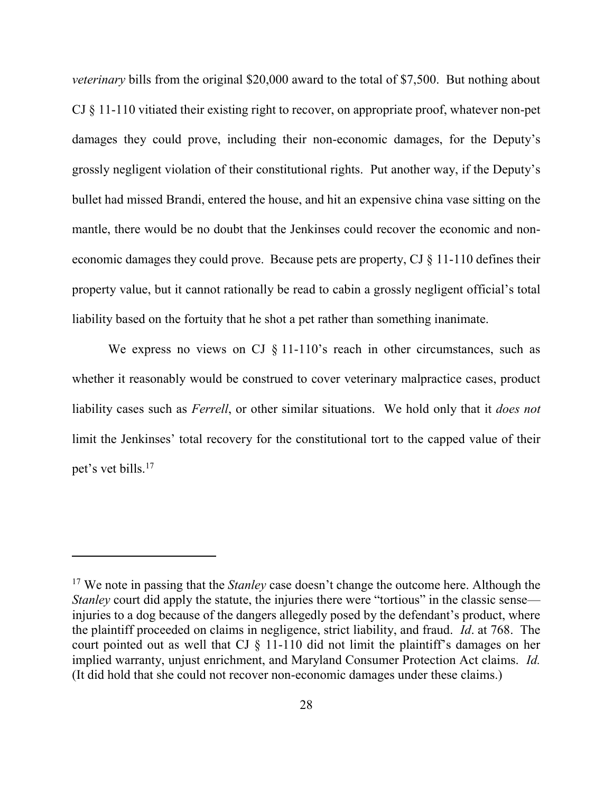*veterinary* bills from the original \$20,000 award to the total of \$7,500. But nothing about CJ § 11-110 vitiated their existing right to recover, on appropriate proof, whatever non-pet damages they could prove, including their non-economic damages, for the Deputy's grossly negligent violation of their constitutional rights. Put another way, if the Deputy's bullet had missed Brandi, entered the house, and hit an expensive china vase sitting on the mantle, there would be no doubt that the Jenkinses could recover the economic and noneconomic damages they could prove. Because pets are property,  $CI \$  $11-110$  defines their property value, but it cannot rationally be read to cabin a grossly negligent official's total liability based on the fortuity that he shot a pet rather than something inanimate.

We express no views on CJ  $\S$  11-110's reach in other circumstances, such as whether it reasonably would be construed to cover veterinary malpractice cases, product liability cases such as *Ferrell*, or other similar situations. We hold only that it *does not* limit the Jenkinses' total recovery for the constitutional tort to the capped value of their pet's vet bills.<sup>17</sup>

<sup>17</sup> We note in passing that the *Stanley* case doesn't change the outcome here. Although the *Stanley* court did apply the statute, the injuries there were "tortious" in the classic sense injuries to a dog because of the dangers allegedly posed by the defendant's product, where the plaintiff proceeded on claims in negligence, strict liability, and fraud. *Id*. at 768. The court pointed out as well that CJ § 11-110 did not limit the plaintiff's damages on her implied warranty, unjust enrichment, and Maryland Consumer Protection Act claims. *Id.* (It did hold that she could not recover non-economic damages under these claims.)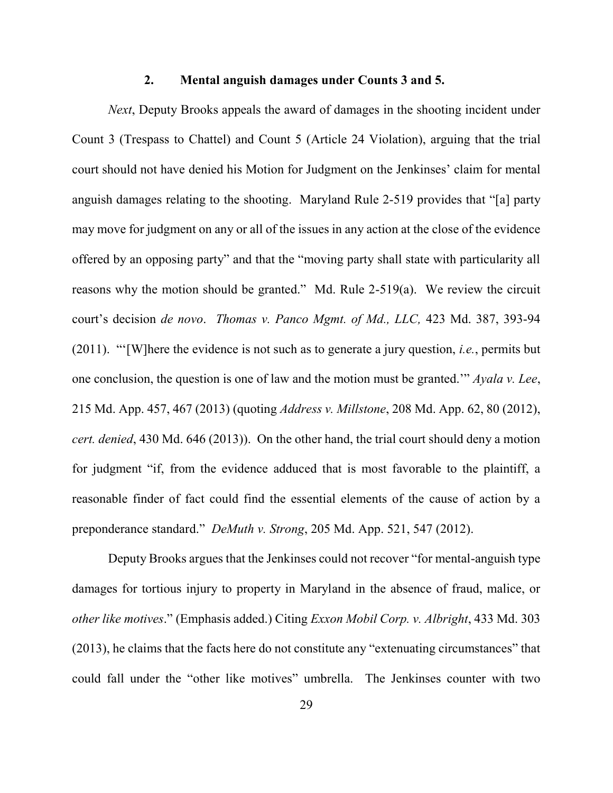#### **2. Mental anguish damages under Counts 3 and 5.**

*Next*, Deputy Brooks appeals the award of damages in the shooting incident under Count 3 (Trespass to Chattel) and Count 5 (Article 24 Violation), arguing that the trial court should not have denied his Motion for Judgment on the Jenkinses' claim for mental anguish damages relating to the shooting. Maryland Rule 2-519 provides that "[a] party may move for judgment on any or all of the issues in any action at the close of the evidence offered by an opposing party" and that the "moving party shall state with particularity all reasons why the motion should be granted." Md. Rule 2-519(a). We review the circuit court's decision *de novo*. *Thomas v. Panco Mgmt. of Md., LLC,* 423 Md. 387, 393-94 (2011). "'[W]here the evidence is not such as to generate a jury question, *i.e.*, permits but one conclusion, the question is one of law and the motion must be granted.'" *Ayala v. Lee*, 215 Md. App. 457, 467 (2013) (quoting *Address v. Millstone*, 208 Md. App. 62, 80 (2012), *cert. denied*, 430 Md. 646 (2013)). On the other hand, the trial court should deny a motion for judgment "if, from the evidence adduced that is most favorable to the plaintiff, a reasonable finder of fact could find the essential elements of the cause of action by a preponderance standard." *DeMuth v. Strong*, 205 Md. App. 521, 547 (2012).

Deputy Brooks argues that the Jenkinses could not recover "for mental-anguish type damages for tortious injury to property in Maryland in the absence of fraud, malice, or *other like motives*." (Emphasis added.) Citing *Exxon Mobil Corp. v. Albright*, 433 Md. 303 (2013), he claims that the facts here do not constitute any "extenuating circumstances" that could fall under the "other like motives" umbrella. The Jenkinses counter with two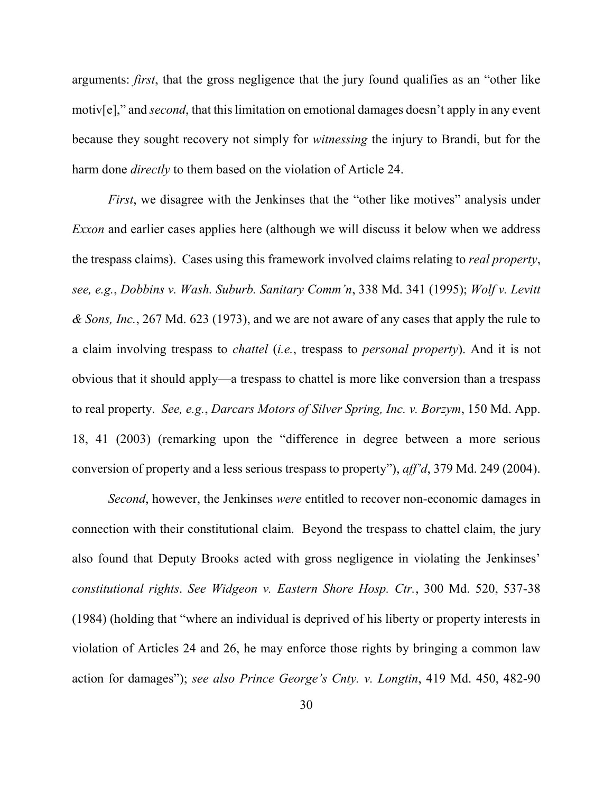arguments: *first*, that the gross negligence that the jury found qualifies as an "other like motiv[e]," and *second*, that this limitation on emotional damages doesn't apply in any event because they sought recovery not simply for *witnessing* the injury to Brandi, but for the harm done *directly* to them based on the violation of Article 24.

*First*, we disagree with the Jenkinses that the "other like motives" analysis under *Exxon* and earlier cases applies here (although we will discuss it below when we address the trespass claims). Cases using this framework involved claims relating to *real property*, *see, e.g.*, *Dobbins v. Wash. Suburb. Sanitary Comm'n*, 338 Md. 341 (1995); *Wolf v. Levitt & Sons, Inc.*, 267 Md. 623 (1973), and we are not aware of any cases that apply the rule to a claim involving trespass to *chattel* (*i.e.*, trespass to *personal property*). And it is not obvious that it should apply—a trespass to chattel is more like conversion than a trespass to real property. *See, e.g.*, *Darcars Motors of Silver Spring, Inc. v. Borzym*, 150 Md. App. 18, 41 (2003) (remarking upon the "difference in degree between a more serious conversion of property and a less serious trespass to property"), *aff'd*, 379 Md. 249 (2004).

*Second*, however, the Jenkinses *were* entitled to recover non-economic damages in connection with their constitutional claim. Beyond the trespass to chattel claim, the jury also found that Deputy Brooks acted with gross negligence in violating the Jenkinses' *constitutional rights*. *See Widgeon v. Eastern Shore Hosp. Ctr.*, 300 Md. 520, 537-38 (1984) (holding that "where an individual is deprived of his liberty or property interests in violation of Articles 24 and 26, he may enforce those rights by bringing a common law action for damages"); *see also Prince George's Cnty. v. Longtin*, 419 Md. 450, 482-90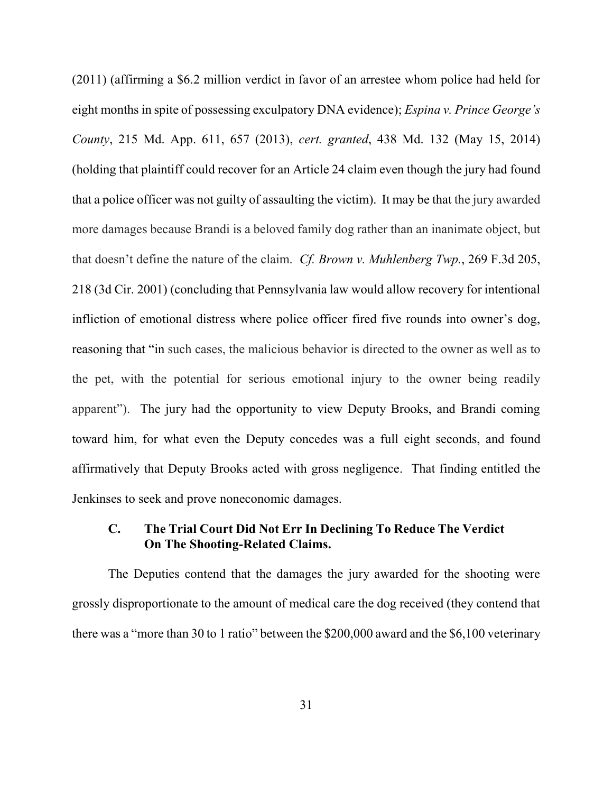(2011) (affirming a \$6.2 million verdict in favor of an arrestee whom police had held for eight months in spite of possessing exculpatory DNA evidence); *Espina v. Prince George's County*, 215 Md. App. 611, 657 (2013), *cert. granted*, 438 Md. 132 (May 15, 2014) (holding that plaintiff could recover for an Article 24 claim even though the jury had found that a police officer was not guilty of assaulting the victim). It may be that the jury awarded more damages because Brandi is a beloved family dog rather than an inanimate object, but that doesn't define the nature of the claim. *Cf. Brown v. Muhlenberg Twp.*, 269 F.3d 205, 218 (3d Cir. 2001) (concluding that Pennsylvania law would allow recovery for intentional infliction of emotional distress where police officer fired five rounds into owner's dog, reasoning that "in such cases, the malicious behavior is directed to the owner as well as to the pet, with the potential for serious emotional injury to the owner being readily apparent"). The jury had the opportunity to view Deputy Brooks, and Brandi coming toward him, for what even the Deputy concedes was a full eight seconds, and found affirmatively that Deputy Brooks acted with gross negligence. That finding entitled the Jenkinses to seek and prove noneconomic damages.

# **C. The Trial Court Did Not Err In Declining To Reduce The Verdict On The Shooting-Related Claims.**

 The Deputies contend that the damages the jury awarded for the shooting were grossly disproportionate to the amount of medical care the dog received (they contend that there was a "more than 30 to 1 ratio" between the \$200,000 award and the \$6,100 veterinary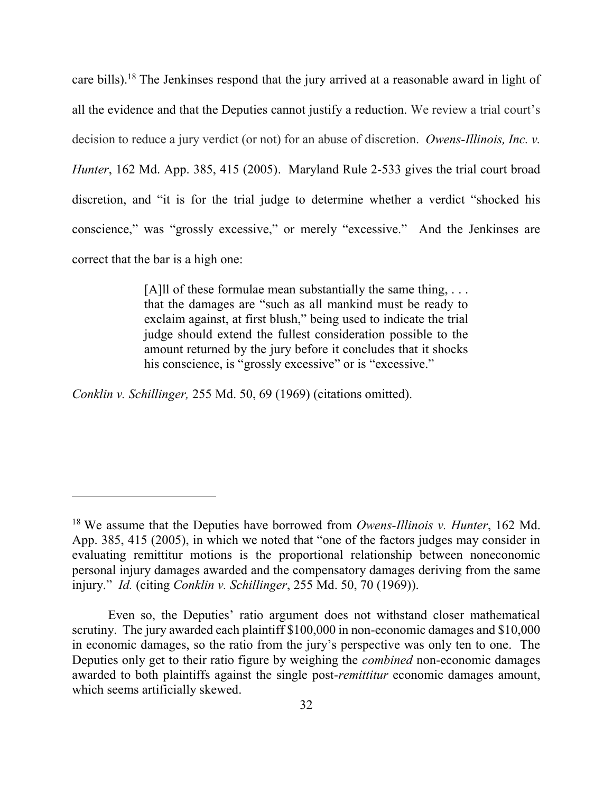care bills).<sup>18</sup> The Jenkinses respond that the jury arrived at a reasonable award in light of all the evidence and that the Deputies cannot justify a reduction. We review a trial court's decision to reduce a jury verdict (or not) for an abuse of discretion. *Owens-Illinois, Inc. v. Hunter*, 162 Md. App. 385, 415 (2005). Maryland Rule 2-533 gives the trial court broad discretion, and "it is for the trial judge to determine whether a verdict "shocked his conscience," was "grossly excessive," or merely "excessive." And the Jenkinses are correct that the bar is a high one:

> [A]ll of these formulae mean substantially the same thing, ... that the damages are "such as all mankind must be ready to exclaim against, at first blush," being used to indicate the trial judge should extend the fullest consideration possible to the amount returned by the jury before it concludes that it shocks his conscience, is "grossly excessive" or is "excessive."

*Conklin v. Schillinger,* 255 Md. 50, 69 (1969) (citations omitted).

<sup>18</sup> We assume that the Deputies have borrowed from *Owens-Illinois v. Hunter*, 162 Md. App. 385, 415 (2005), in which we noted that "one of the factors judges may consider in evaluating remittitur motions is the proportional relationship between noneconomic personal injury damages awarded and the compensatory damages deriving from the same injury." *Id.* (citing *Conklin v. Schillinger*, 255 Md. 50, 70 (1969)).

Even so, the Deputies' ratio argument does not withstand closer mathematical scrutiny. The jury awarded each plaintiff \$100,000 in non-economic damages and \$10,000 in economic damages, so the ratio from the jury's perspective was only ten to one. The Deputies only get to their ratio figure by weighing the *combined* non-economic damages awarded to both plaintiffs against the single post-*remittitur* economic damages amount, which seems artificially skewed.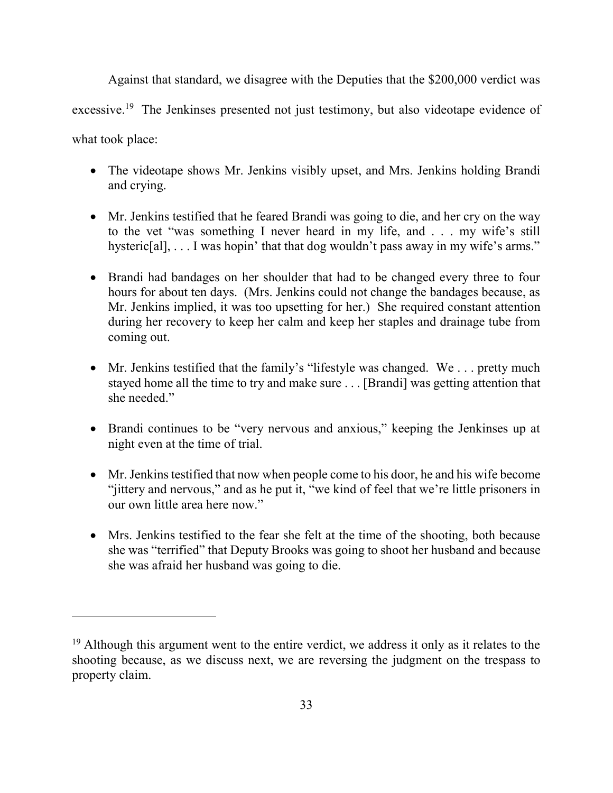Against that standard, we disagree with the Deputies that the \$200,000 verdict was excessive.<sup>19</sup> The Jenkinses presented not just testimony, but also videotape evidence of what took place:

- The videotape shows Mr. Jenkins visibly upset, and Mrs. Jenkins holding Brandi and crying.
- Mr. Jenkins testified that he feared Brandi was going to die, and her cry on the way to the vet "was something I never heard in my life, and . . . my wife's still hysteric[al], . . . I was hopin' that that dog wouldn't pass away in my wife's arms."
- Brandi had bandages on her shoulder that had to be changed every three to four hours for about ten days. (Mrs. Jenkins could not change the bandages because, as Mr. Jenkins implied, it was too upsetting for her.) She required constant attention during her recovery to keep her calm and keep her staples and drainage tube from coming out.
- Mr. Jenkins testified that the family's "lifestyle was changed. We . . . pretty much stayed home all the time to try and make sure . . . [Brandi] was getting attention that she needed."
- Brandi continues to be "very nervous and anxious," keeping the Jenkinses up at night even at the time of trial.
- Mr. Jenkins testified that now when people come to his door, he and his wife become "jittery and nervous," and as he put it, "we kind of feel that we're little prisoners in our own little area here now."
- Mrs. Jenkins testified to the fear she felt at the time of the shooting, both because she was "terrified" that Deputy Brooks was going to shoot her husband and because she was afraid her husband was going to die.

 $19$  Although this argument went to the entire verdict, we address it only as it relates to the shooting because, as we discuss next, we are reversing the judgment on the trespass to property claim.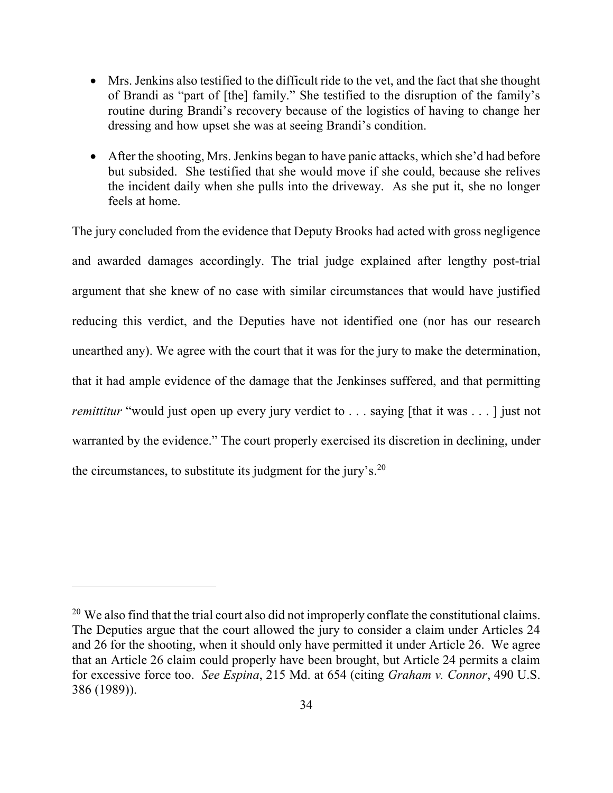- Mrs. Jenkins also testified to the difficult ride to the vet, and the fact that she thought of Brandi as "part of [the] family." She testified to the disruption of the family's routine during Brandi's recovery because of the logistics of having to change her dressing and how upset she was at seeing Brandi's condition.
- After the shooting, Mrs. Jenkins began to have panic attacks, which she'd had before but subsided. She testified that she would move if she could, because she relives the incident daily when she pulls into the driveway. As she put it, she no longer feels at home.

The jury concluded from the evidence that Deputy Brooks had acted with gross negligence and awarded damages accordingly. The trial judge explained after lengthy post-trial argument that she knew of no case with similar circumstances that would have justified reducing this verdict, and the Deputies have not identified one (nor has our research unearthed any). We agree with the court that it was for the jury to make the determination, that it had ample evidence of the damage that the Jenkinses suffered, and that permitting *remittitur* "would just open up every jury verdict to . . . saying [that it was . . . ] just not warranted by the evidence." The court properly exercised its discretion in declining, under the circumstances, to substitute its judgment for the jury's. $20$ 

<sup>&</sup>lt;sup>20</sup> We also find that the trial court also did not improperly conflate the constitutional claims. The Deputies argue that the court allowed the jury to consider a claim under Articles 24 and 26 for the shooting, when it should only have permitted it under Article 26. We agree that an Article 26 claim could properly have been brought, but Article 24 permits a claim for excessive force too. *See Espina*, 215 Md. at 654 (citing *Graham v. Connor*, 490 U.S. 386 (1989)).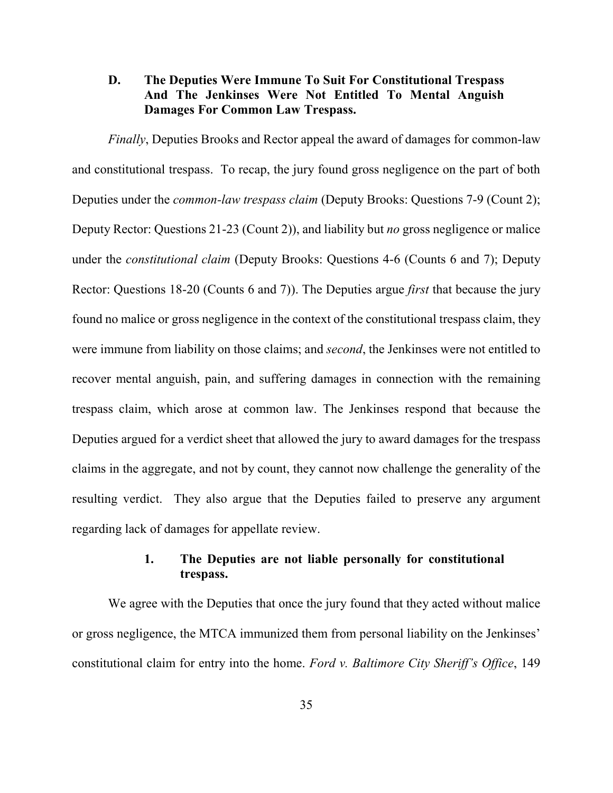# **D. The Deputies Were Immune To Suit For Constitutional Trespass And The Jenkinses Were Not Entitled To Mental Anguish Damages For Common Law Trespass.**

*Finally*, Deputies Brooks and Rector appeal the award of damages for common-law and constitutional trespass. To recap, the jury found gross negligence on the part of both Deputies under the *common-law trespass claim* (Deputy Brooks: Questions 7-9 (Count 2); Deputy Rector: Questions 21-23 (Count 2)), and liability but *no* gross negligence or malice under the *constitutional claim* (Deputy Brooks: Questions 4-6 (Counts 6 and 7); Deputy Rector: Questions 18-20 (Counts 6 and 7)). The Deputies argue *first* that because the jury found no malice or gross negligence in the context of the constitutional trespass claim, they were immune from liability on those claims; and *second*, the Jenkinses were not entitled to recover mental anguish, pain, and suffering damages in connection with the remaining trespass claim, which arose at common law. The Jenkinses respond that because the Deputies argued for a verdict sheet that allowed the jury to award damages for the trespass claims in the aggregate, and not by count, they cannot now challenge the generality of the resulting verdict. They also argue that the Deputies failed to preserve any argument regarding lack of damages for appellate review.

# **1. The Deputies are not liable personally for constitutional trespass.**

We agree with the Deputies that once the jury found that they acted without malice or gross negligence, the MTCA immunized them from personal liability on the Jenkinses' constitutional claim for entry into the home. *Ford v. Baltimore City Sheriff's Office*, 149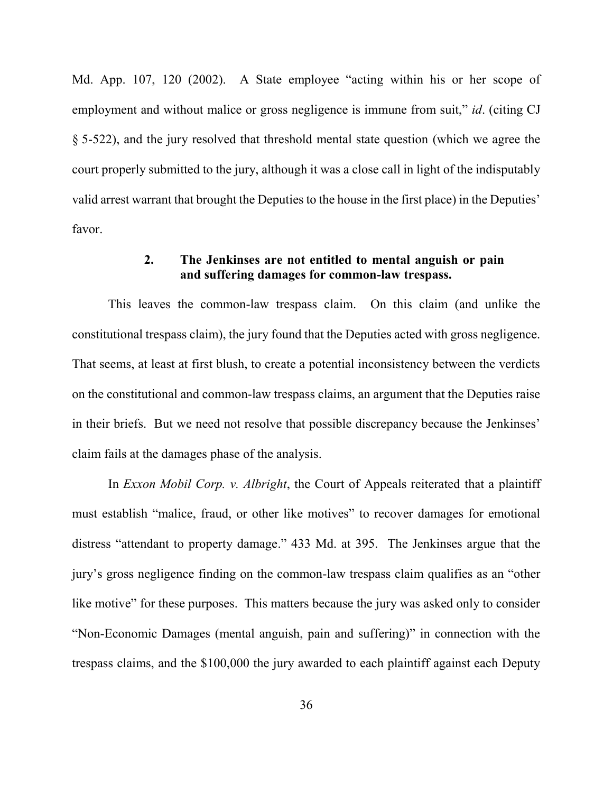Md. App. 107, 120 (2002). A State employee "acting within his or her scope of employment and without malice or gross negligence is immune from suit," *id*. (citing CJ § 5-522), and the jury resolved that threshold mental state question (which we agree the court properly submitted to the jury, although it was a close call in light of the indisputably valid arrest warrant that brought the Deputies to the house in the first place) in the Deputies' favor.

# **2. The Jenkinses are not entitled to mental anguish or pain and suffering damages for common-law trespass.**

This leaves the common-law trespass claim. On this claim (and unlike the constitutional trespass claim), the jury found that the Deputies acted with gross negligence. That seems, at least at first blush, to create a potential inconsistency between the verdicts on the constitutional and common-law trespass claims, an argument that the Deputies raise in their briefs. But we need not resolve that possible discrepancy because the Jenkinses' claim fails at the damages phase of the analysis.

In *Exxon Mobil Corp. v. Albright*, the Court of Appeals reiterated that a plaintiff must establish "malice, fraud, or other like motives" to recover damages for emotional distress "attendant to property damage." 433 Md. at 395. The Jenkinses argue that the jury's gross negligence finding on the common-law trespass claim qualifies as an "other like motive" for these purposes. This matters because the jury was asked only to consider "Non-Economic Damages (mental anguish, pain and suffering)" in connection with the trespass claims, and the \$100,000 the jury awarded to each plaintiff against each Deputy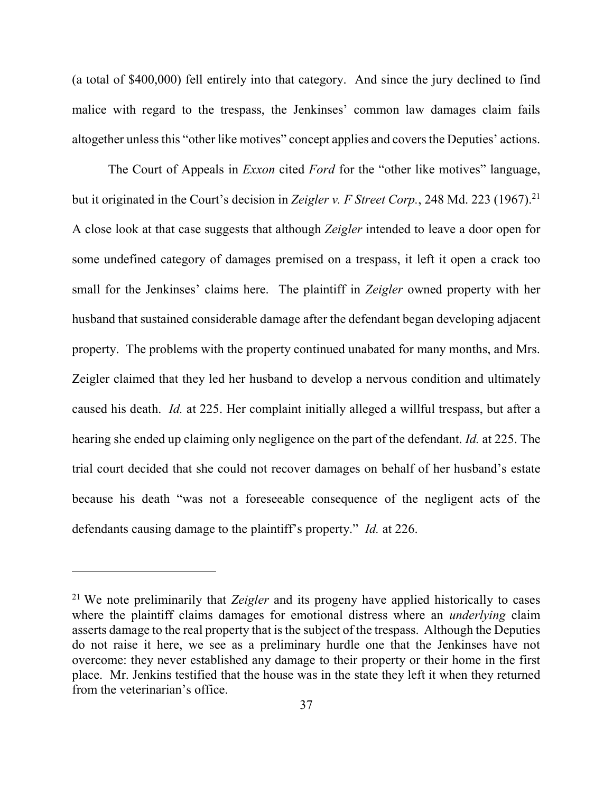(a total of \$400,000) fell entirely into that category. And since the jury declined to find malice with regard to the trespass, the Jenkinses' common law damages claim fails altogether unless this "other like motives" concept applies and covers the Deputies' actions.

The Court of Appeals in *Exxon* cited *Ford* for the "other like motives" language, but it originated in the Court's decision in *Zeigler v. F Street Corp.*, 248 Md. 223 (1967).<sup>21</sup> A close look at that case suggests that although *Zeigler* intended to leave a door open for some undefined category of damages premised on a trespass, it left it open a crack too small for the Jenkinses' claims here. The plaintiff in *Zeigler* owned property with her husband that sustained considerable damage after the defendant began developing adjacent property. The problems with the property continued unabated for many months, and Mrs. Zeigler claimed that they led her husband to develop a nervous condition and ultimately caused his death. *Id.* at 225. Her complaint initially alleged a willful trespass, but after a hearing she ended up claiming only negligence on the part of the defendant. *Id.* at 225. The trial court decided that she could not recover damages on behalf of her husband's estate because his death "was not a foreseeable consequence of the negligent acts of the defendants causing damage to the plaintiff's property." *Id.* at 226.

<sup>21</sup> We note preliminarily that *Zeigler* and its progeny have applied historically to cases where the plaintiff claims damages for emotional distress where an *underlying* claim asserts damage to the real property that is the subject of the trespass. Although the Deputies do not raise it here, we see as a preliminary hurdle one that the Jenkinses have not overcome: they never established any damage to their property or their home in the first place. Mr. Jenkins testified that the house was in the state they left it when they returned from the veterinarian's office.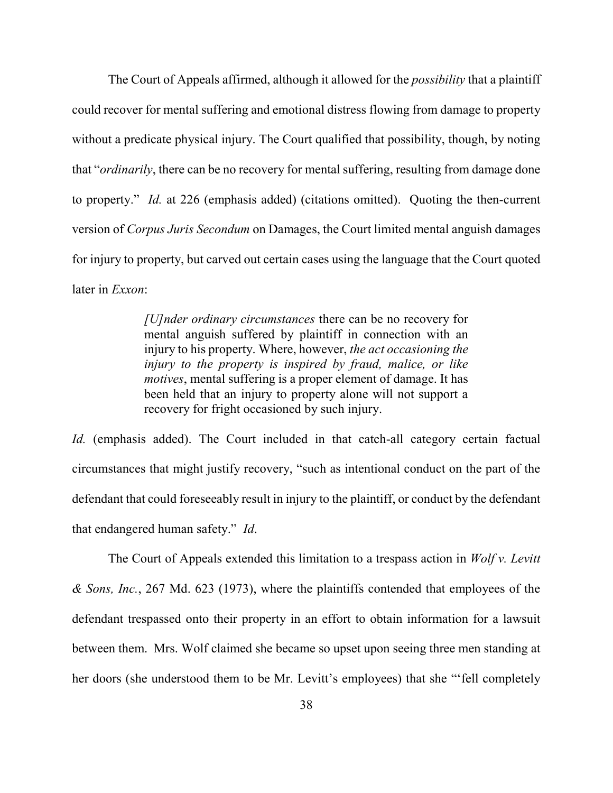The Court of Appeals affirmed, although it allowed for the *possibility* that a plaintiff could recover for mental suffering and emotional distress flowing from damage to property without a predicate physical injury. The Court qualified that possibility, though, by noting that "*ordinarily*, there can be no recovery for mental suffering, resulting from damage done to property." *Id.* at 226 (emphasis added) (citations omitted). Quoting the then-current version of *Corpus Juris Secondum* on Damages, the Court limited mental anguish damages for injury to property, but carved out certain cases using the language that the Court quoted later in *Exxon*:

> *[U]nder ordinary circumstances* there can be no recovery for mental anguish suffered by plaintiff in connection with an injury to his property. Where, however, *the act occasioning the injury to the property is inspired by fraud, malice, or like motives*, mental suffering is a proper element of damage. It has been held that an injury to property alone will not support a recovery for fright occasioned by such injury.

*Id.* (emphasis added). The Court included in that catch-all category certain factual circumstances that might justify recovery, "such as intentional conduct on the part of the defendant that could foreseeably result in injury to the plaintiff, or conduct by the defendant that endangered human safety." *Id*.

 The Court of Appeals extended this limitation to a trespass action in *Wolf v. Levitt & Sons, Inc.*, 267 Md. 623 (1973), where the plaintiffs contended that employees of the defendant trespassed onto their property in an effort to obtain information for a lawsuit between them. Mrs. Wolf claimed she became so upset upon seeing three men standing at her doors (she understood them to be Mr. Levitt's employees) that she "'fell completely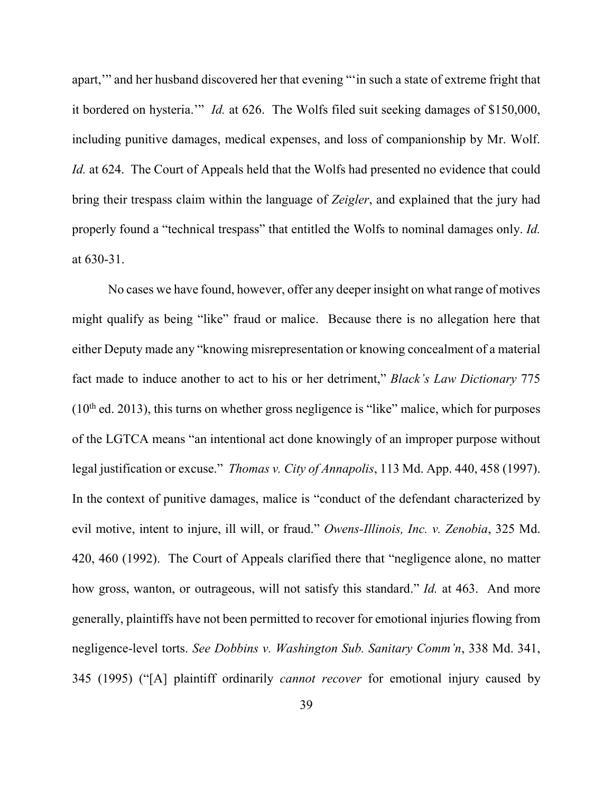apart,'" and her husband discovered her that evening "'in such a state of extreme fright that it bordered on hysteria.'" *Id.* at 626. The Wolfs filed suit seeking damages of \$150,000, including punitive damages, medical expenses, and loss of companionship by Mr. Wolf. *Id.* at 624. The Court of Appeals held that the Wolfs had presented no evidence that could bring their trespass claim within the language of *Zeigler*, and explained that the jury had properly found a "technical trespass" that entitled the Wolfs to nominal damages only. *Id.* at 630-31.

No cases we have found, however, offer any deeper insight on what range of motives might qualify as being "like" fraud or malice. Because there is no allegation here that either Deputy made any "knowing misrepresentation or knowing concealment of a material fact made to induce another to act to his or her detriment," *Black's Law Dictionary* 775  $(10<sup>th</sup>$  ed. 2013), this turns on whether gross negligence is "like" malice, which for purposes of the LGTCA means "an intentional act done knowingly of an improper purpose without legal justification or excuse." *Thomas v. City of Annapolis*, 113 Md. App. 440, 458 (1997). In the context of punitive damages, malice is "conduct of the defendant characterized by evil motive, intent to injure, ill will, or fraud." *Owens-Illinois, Inc. v. Zenobia*, 325 Md. 420, 460 (1992). The Court of Appeals clarified there that "negligence alone, no matter how gross, wanton, or outrageous, will not satisfy this standard." *Id.* at 463. And more generally, plaintiffs have not been permitted to recover for emotional injuries flowing from negligence-level torts. *See Dobbins v. Washington Sub. Sanitary Comm'n*, 338 Md. 341, 345 (1995) ("[A] plaintiff ordinarily *cannot recover* for emotional injury caused by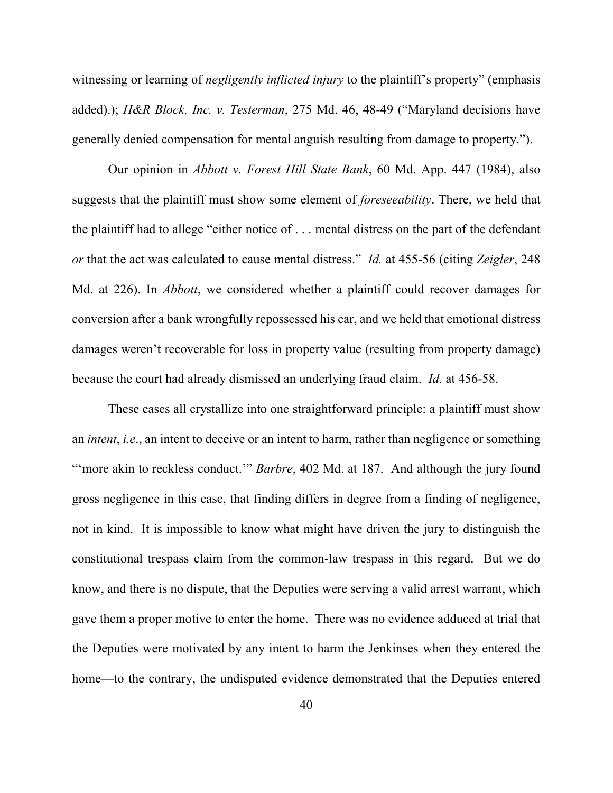witnessing or learning of *negligently inflicted injury* to the plaintiff's property" (emphasis added).); *H&R Block, Inc. v. Testerman*, 275 Md. 46, 48-49 ("Maryland decisions have generally denied compensation for mental anguish resulting from damage to property.").

 Our opinion in *Abbott v. Forest Hill State Bank*, 60 Md. App. 447 (1984), also suggests that the plaintiff must show some element of *foreseeability*. There, we held that the plaintiff had to allege "either notice of . . . mental distress on the part of the defendant *or* that the act was calculated to cause mental distress." *Id.* at 455-56 (citing *Zeigler*, 248 Md. at 226). In *Abbott*, we considered whether a plaintiff could recover damages for conversion after a bank wrongfully repossessed his car, and we held that emotional distress damages weren't recoverable for loss in property value (resulting from property damage) because the court had already dismissed an underlying fraud claim. *Id.* at 456-58.

 These cases all crystallize into one straightforward principle: a plaintiff must show an *intent*, *i.e*., an intent to deceive or an intent to harm, rather than negligence or something "'more akin to reckless conduct." *Barbre*, 402 Md. at 187. And although the jury found gross negligence in this case, that finding differs in degree from a finding of negligence, not in kind. It is impossible to know what might have driven the jury to distinguish the constitutional trespass claim from the common-law trespass in this regard. But we do know, and there is no dispute, that the Deputies were serving a valid arrest warrant, which gave them a proper motive to enter the home. There was no evidence adduced at trial that the Deputies were motivated by any intent to harm the Jenkinses when they entered the home—to the contrary, the undisputed evidence demonstrated that the Deputies entered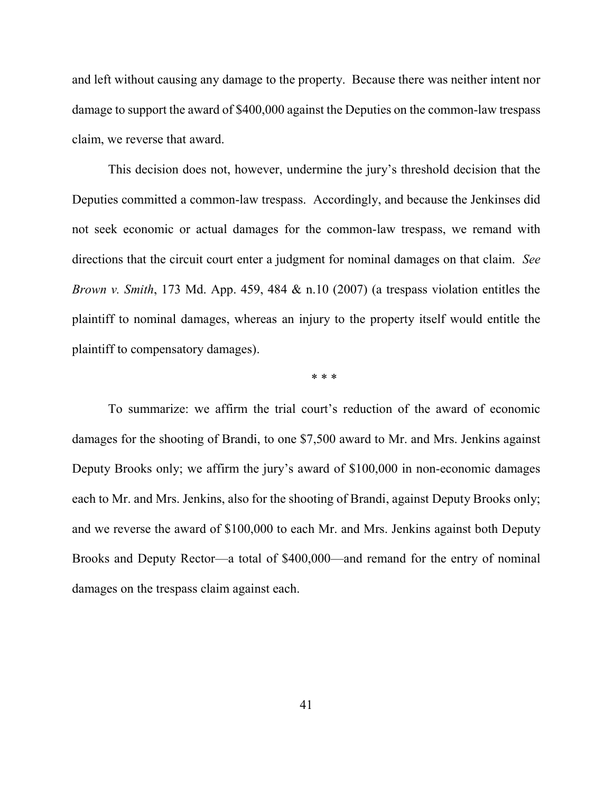and left without causing any damage to the property. Because there was neither intent nor damage to support the award of \$400,000 against the Deputies on the common-law trespass claim, we reverse that award.

This decision does not, however, undermine the jury's threshold decision that the Deputies committed a common-law trespass. Accordingly, and because the Jenkinses did not seek economic or actual damages for the common-law trespass, we remand with directions that the circuit court enter a judgment for nominal damages on that claim. *See Brown v. Smith*, 173 Md. App. 459, 484 & n.10 (2007) (a trespass violation entitles the plaintiff to nominal damages, whereas an injury to the property itself would entitle the plaintiff to compensatory damages).

\* \* \*

To summarize: we affirm the trial court's reduction of the award of economic damages for the shooting of Brandi, to one \$7,500 award to Mr. and Mrs. Jenkins against Deputy Brooks only; we affirm the jury's award of \$100,000 in non-economic damages each to Mr. and Mrs. Jenkins, also for the shooting of Brandi, against Deputy Brooks only; and we reverse the award of \$100,000 to each Mr. and Mrs. Jenkins against both Deputy Brooks and Deputy Rector—a total of \$400,000—and remand for the entry of nominal damages on the trespass claim against each.